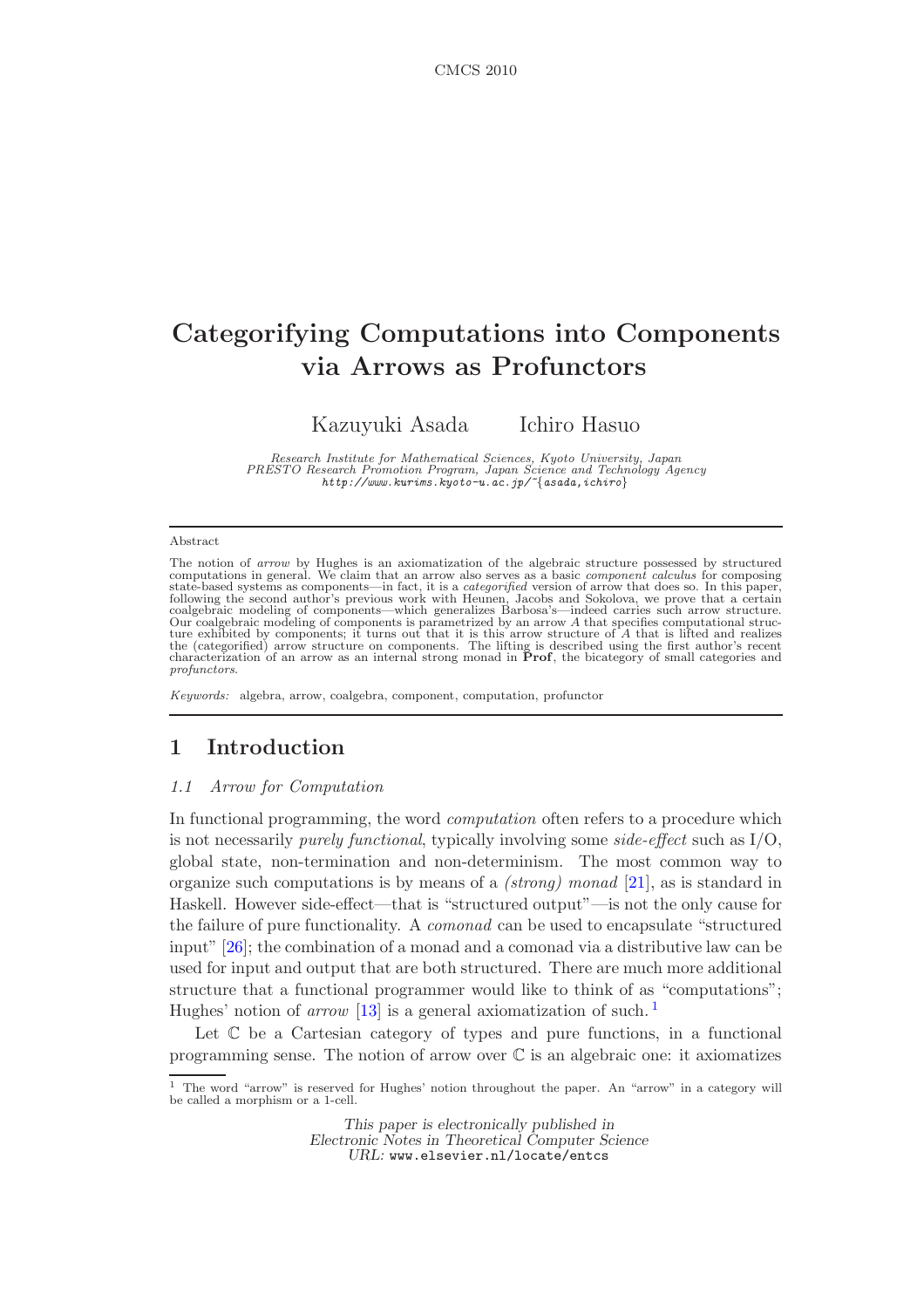# Categorifying Computations into Components via Arrows as Profunctors

Kazuyuki Asada Ichiro Hasuo

*Research Institute for Mathematical Sciences, Kyoto University, Japan PRESTO Research Promotion Program, Japan Science and Technology Agency http://www.kurims.kyoto-u.ac.jp/~*{*asada,ichiro*}

#### Abstract

The notion of *arrow* by Hughes is an axiomatization of the algebraic structure possessed by structured computations in general. We claim that an arrow also serves as a basic *component calculus* for composing state-based systems as components—in fact, it is a *categorified* version of arrow that does so. In this paper,<br>following the second author's previous work with Heunen, Jacobs and Sokolova, we prove that a certain<br>coalgebr ture exhibited by components; it turns out that it is this arrow structure of  $A$  that is lifted and realizes the (categorified) arrow structure on components. The lifting is described using the first author's recent char *profunctors*.

*Keywords:* algebra, arrow, coalgebra, component, computation, profunctor

# <span id="page-0-2"></span><span id="page-0-1"></span>1 Introduction

#### *1.1 Arrow for Computation*

In functional programming, the word *computation* often refers to a procedure which is not necessarily *purely functional*, typically involving some *side-effect* such as I/O, global state, non-termination and non-determinism. The most common way to organize such computations is by means of a *(strong) monad* [\[21\]](#page-20-0), as is standard in Haskell. However side-effect—that is "structured output"—is not the only cause for the failure of pure functionality. A *comonad* can be used to encapsulate "structured input" [\[26\]](#page-20-1); the combination of a monad and a comonad via a distributive law can be used for input and output that are both structured. There are much more additional structure that a functional programmer would like to think of as "computations"; Hughes' notion of *arrow* [\[13\]](#page-19-0) is a general axiomatization of such.<sup>[1](#page-0-0)</sup>

Let  $\mathbb C$  be a Cartesian category of types and pure functions, in a functional programming sense. The notion of arrow over  $\mathbb C$  is an algebraic one: it axiomatizes

This paper is electronically published in Electronic Notes in Theoretical Computer Science URL: www.elsevier.nl/locate/entcs

<span id="page-0-0"></span><sup>1</sup> The word "arrow" is reserved for Hughes' notion throughout the paper. An "arrow" in a category will be called a morphism or a 1-cell.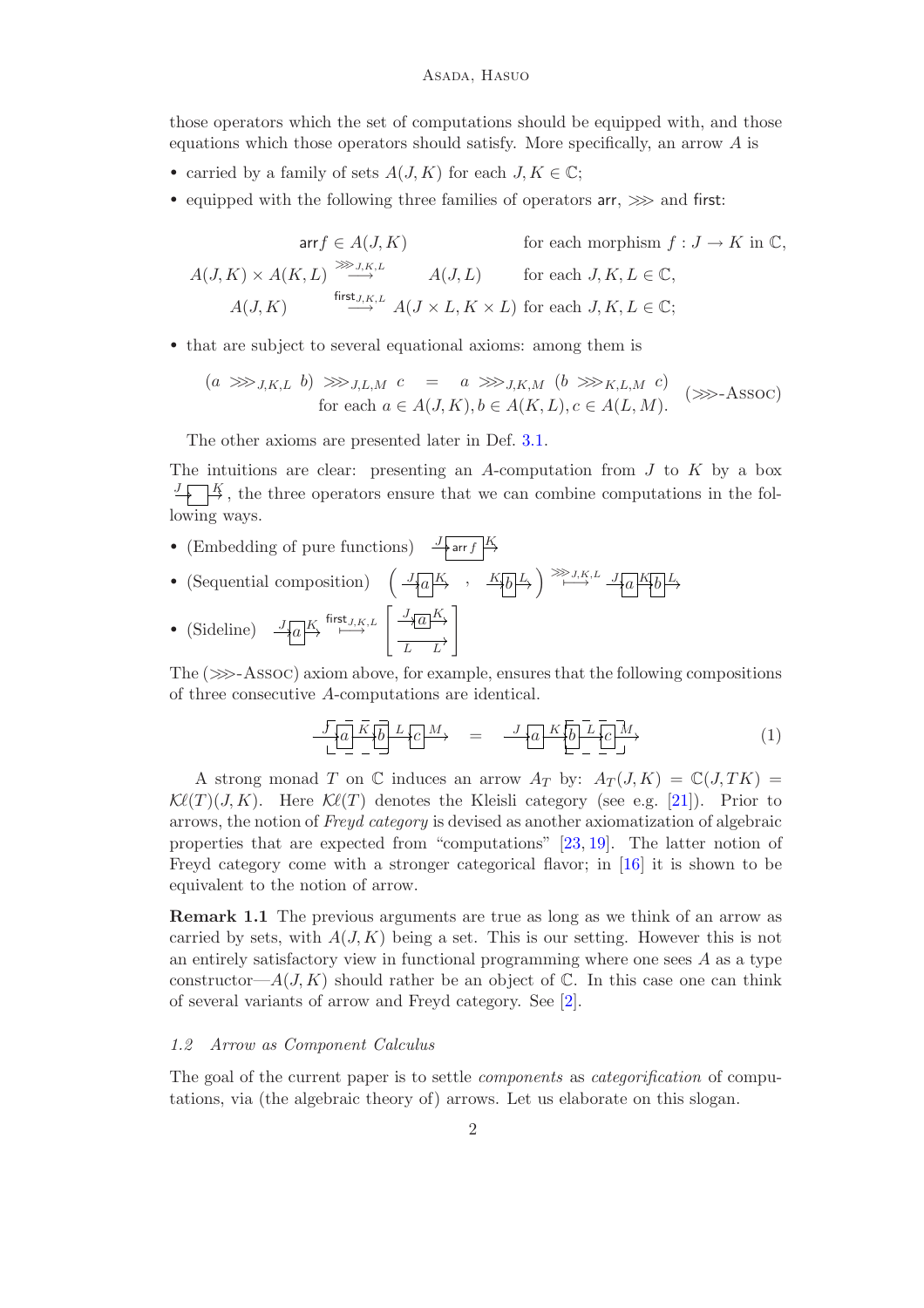those operators which the set of computations should be equipped with, and those equations which those operators should satisfy. More specifically, an arrow A is

- carried by a family of sets  $A(J, K)$  for each  $J, K \in \mathbb{C}$ ;
- equipped with the following three families of operators  $ar \implies$  and first:

$$
\text{arr} f \in A(J, K) \qquad \text{for each morphism } f: J \to K \text{ in } \mathbb{C},
$$

$$
A(J, K) \times A(K, L) \xrightarrow{\text{ker} J, K, L} A(J, L) \qquad \text{for each } J, K, L \in \mathbb{C},
$$

$$
A(J, K) \qquad \xrightarrow{\text{first } J, K, L} A(J \times L, K \times L) \text{ for each } J, K, L \in \mathbb{C};
$$

• that are subject to several equational axioms: among them is

$$
(a \ggg_{J,K,L} b) \ggg_{J,L,M} c = a \ggg_{J,K,M} (b \ggg_{K,L,M} c)
$$
  
for each  $a \in A(J,K), b \in A(K,L), c \in A(L,M)$ . (>>-ASSOC)

The other axioms are presented later in Def. [3.1.](#page-9-0)

The intuitions are clear: presenting an A-computation from  $J$  to  $K$  by a box  $\frac{J}{I}$ , the three operators ensure that we can combine computations in the following ways.

- (Embedding of pure functions)  $\frac{J}{\sqrt{r}}$  arr f
- (Sequential composition)  $\left( \frac{J_{\overline{A}}a|K}{\sqrt{a}} \right) \xrightarrow{K_{\overline{B}}L} \left( \frac{J_{\overline{A}}a|K}{\sqrt{a}} \right) \xrightarrow{K_{\overline{A}}L} \frac{J_{\overline{A}}a|K_{\overline{B}}L}{\sqrt{a}}$
- (Sideline)  $\frac{J[a]K}{\longrightarrow} \stackrel{\text{first}_{J,K,L}}{\longrightarrow} \left[ \frac{\frac{J_{\sqrt{a}}K}{\longrightarrow}}{\frac{L}{L}} \right]$

The  $(\ggg$ -Assoc) axiom above, for example, ensures that the following compositions of three consecutive A-computations are identical.

$$
\frac{J}{L} \underbrace{a}_{-} \underbrace{K}{b} \underbrace{b}_{-} \underbrace{L}{c} \underbrace{M}_{+} \qquad = \qquad \frac{J}{A} \underbrace{a}_{-} \underbrace{K}{b}_{-} \underbrace{L}{c}_{-} \underbrace{M}_{+} \tag{1}
$$

A strong monad T on  $\mathbb C$  induces an arrow  $A_T$  by:  $A_T(J,K) = \mathbb C(J,TK)$  $\mathcal{K}\ell(T)(J,K)$ . Here  $\mathcal{K}\ell(T)$  denotes the Kleisli category (see e.g. [\[21\]](#page-20-0)). Prior to arrows, the notion of *Freyd category* is devised as another axiomatization of algebraic properties that are expected from "computations" [\[23,](#page-20-2) [19\]](#page-20-3). The latter notion of Freyd category come with a stronger categorical flavor; in [\[16\]](#page-20-4) it is shown to be equivalent to the notion of arrow.

Remark 1.1 The previous arguments are true as long as we think of an arrow as carried by sets, with  $A(J,K)$  being a set. This is our setting. However this is not an entirely satisfactory view in functional programming where one sees  $A$  as a type constructor— $A(J, K)$  should rather be an object of  $\mathbb C$ . In this case one can think of several variants of arrow and Freyd category. See [\[2\]](#page-19-1).

### *1.2 Arrow as Component Calculus*

The goal of the current paper is to settle *components* as *categorification* of computations, via (the algebraic theory of) arrows. Let us elaborate on this slogan.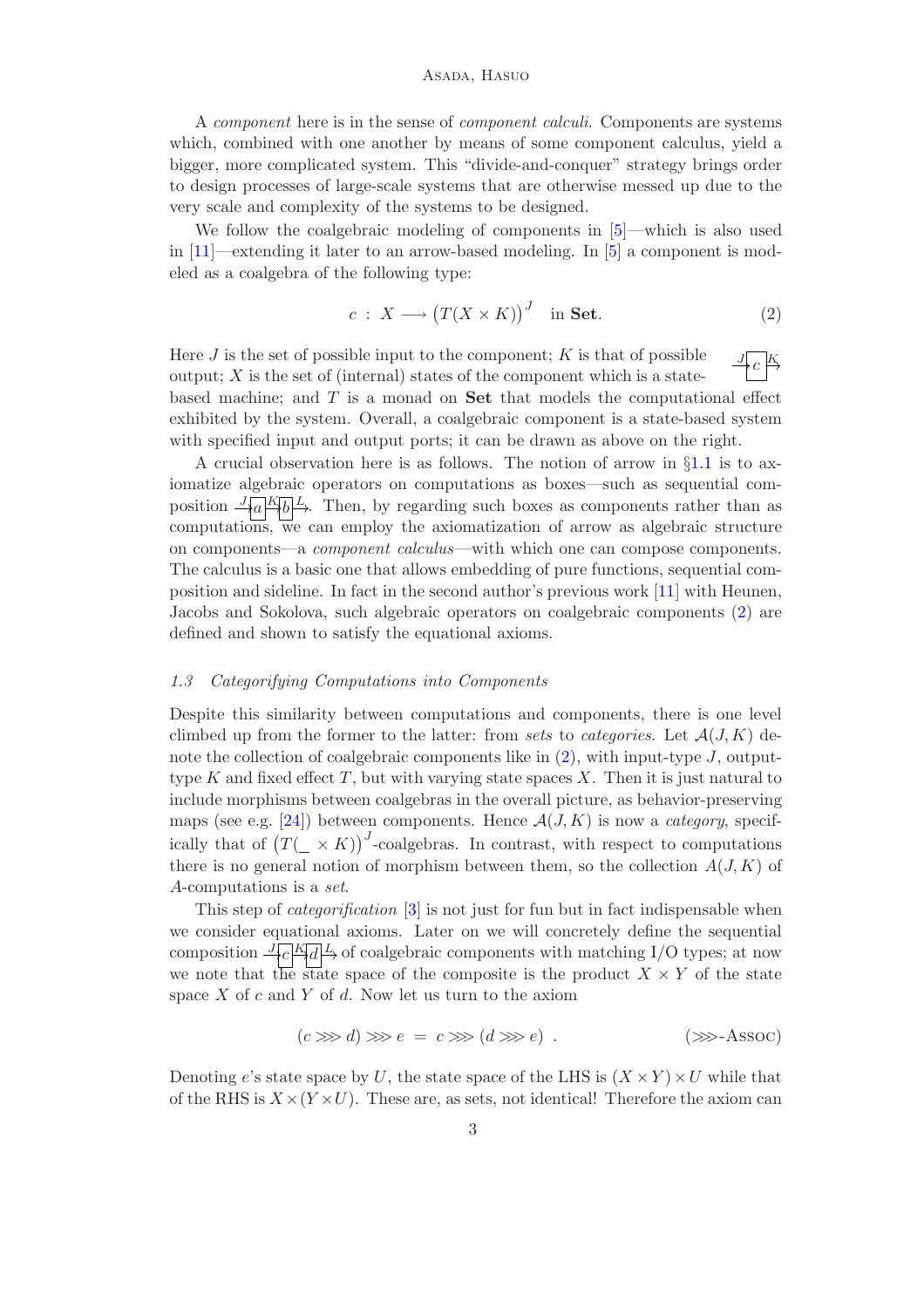#### Asada, Hasuo

A *component* here is in the sense of *component calculi*. Components are systems which, combined with one another by means of some component calculus, yield a bigger, more complicated system. This "divide-and-conquer" strategy brings order to design processes of large-scale systems that are otherwise messed up due to the very scale and complexity of the systems to be designed.

We follow the coalgebraic modeling of components in [\[5\]](#page-19-2)—which is also used in [\[11\]](#page-19-3)—extending it later to an arrow-based modeling. In [\[5\]](#page-19-2) a component is modeled as a coalgebra of the following type:

<span id="page-2-0"></span>
$$
c: X \longrightarrow (T(X \times K))^{J} \text{ in Set.}
$$
 (2)

J  $c \stackrel{K}{\rightarrow}$ Here  $J$  is the set of possible input to the component;  $K$  is that of possible output;  $X$  is the set of (internal) states of the component which is a statebased machine; and  $T$  is a monad on  $\mathbf{Set}$  that models the computational effect exhibited by the system. Overall, a coalgebraic component is a state-based system with specified input and output ports; it can be drawn as above on the right.

A crucial observation here is as follows. The notion of arrow in §[1.1](#page-0-1) is to axiomatize algebraic operators on computations as boxes—such as sequential composition  $\frac{J_{\{a\}}K_{b}}{L}$ . Then, by regarding such boxes as components rather than as computations, we can employ the axiomatization of arrow as algebraic structure on components—a *component calculus*—with which one can compose components. The calculus is a basic one that allows embedding of pure functions, sequential composition and sideline. In fact in the second author's previous work [\[11\]](#page-19-3) with Heunen, Jacobs and Sokolova, such algebraic operators on coalgebraic components [\(2\)](#page-2-0) are defined and shown to satisfy the equational axioms.

### <span id="page-2-1"></span>*1.3 Categorifying Computations into Components*

Despite this similarity between computations and components, there is one level climbed up from the former to the latter: from *sets* to *categories*. Let  $\mathcal{A}(J,K)$  denote the collection of coalgebraic components like in  $(2)$ , with input-type J, outputtype  $K$  and fixed effect  $T$ , but with varying state spaces  $X$ . Then it is just natural to include morphisms between coalgebras in the overall picture, as behavior-preserving maps (see e.g. [\[24\]](#page-20-5)) between components. Hence  $\mathcal{A}(J,K)$  is now a *category*, specifically that of  $(T(\_\times K))^J$ -coalgebras. In contrast, with respect to computations there is no general notion of morphism between them, so the collection  $A(J, K)$  of A-computations is a *set*.

This step of *categorification* [\[3\]](#page-19-4) is not just for fun but in fact indispensable when we consider equational axioms. Later on we will concretely define the sequential composition  $\frac{J_C K_d L}{\sim}$  of coalgebraic components with matching I/O types; at now we note that the state space of the composite is the product  $X \times Y$  of the state space  $X$  of  $c$  and  $Y$  of  $d$ . Now let us turn to the axiom

$$
(c \ggg d) \ggg e = c \ggg (d \ggg e) . \tag{39} \text{--} \text{Assoc}
$$

Denoting e's state space by U, the state space of the LHS is  $(X \times Y) \times U$  while that of the RHS is  $X \times (Y \times U)$ . These are, as sets, not identical! Therefore the axiom can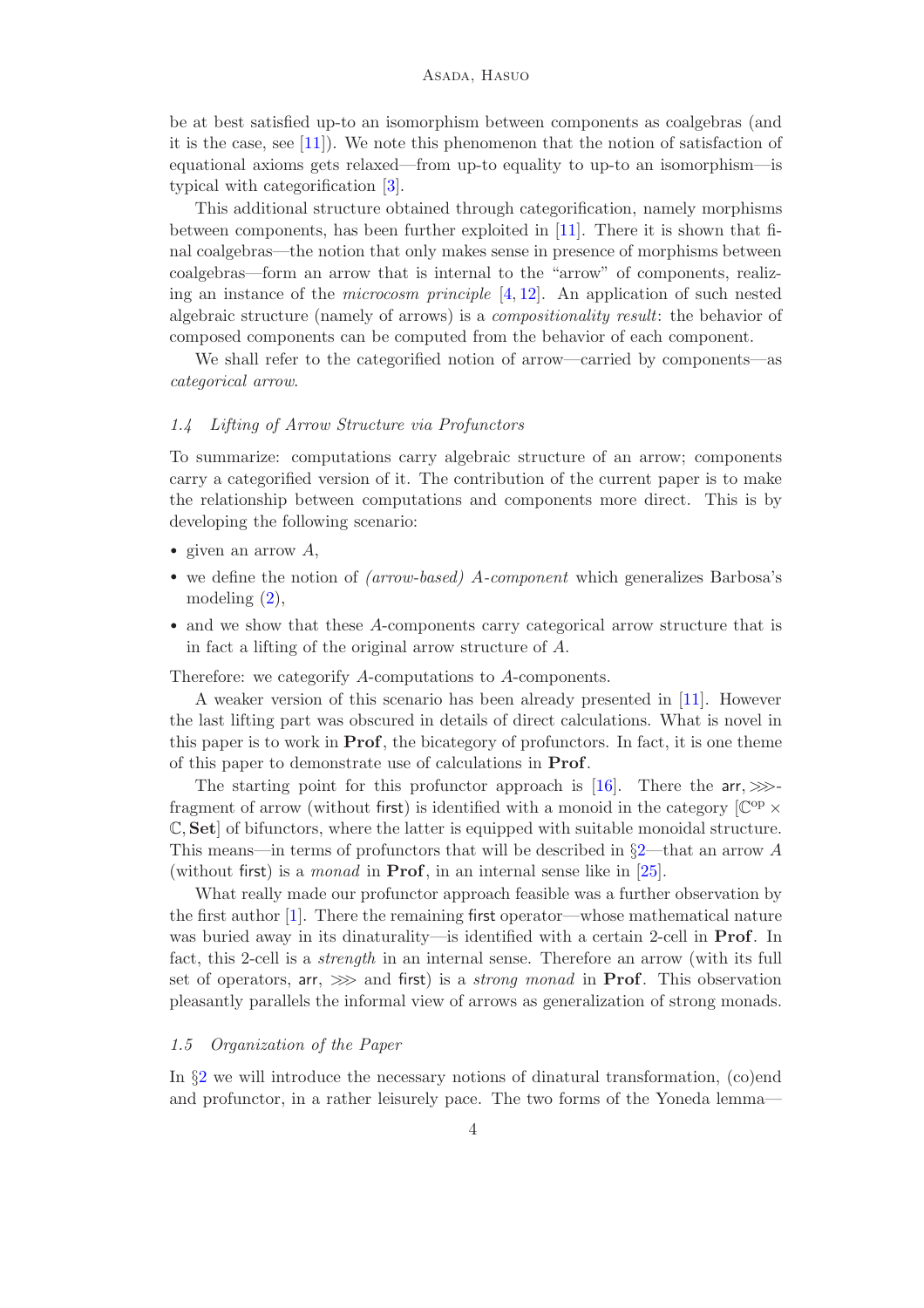be at best satisfied up-to an isomorphism between components as coalgebras (and it is the case, see [\[11\]](#page-19-3)). We note this phenomenon that the notion of satisfaction of equational axioms gets relaxed—from up-to equality to up-to an isomorphism—is typical with categorification [\[3\]](#page-19-4).

This additional structure obtained through categorification, namely morphisms between components, has been further exploited in [\[11\]](#page-19-3). There it is shown that final coalgebras—the notion that only makes sense in presence of morphisms between coalgebras—form an arrow that is internal to the "arrow" of components, realizing an instance of the *microcosm principle* [\[4,](#page-19-5) [12\]](#page-19-6). An application of such nested algebraic structure (namely of arrows) is a *compositionality result*: the behavior of composed components can be computed from the behavior of each component.

We shall refer to the categorified notion of arrow—carried by components—as *categorical arrow*.

#### <span id="page-3-0"></span>*1.4 Lifting of Arrow Structure via Profunctors*

To summarize: computations carry algebraic structure of an arrow; components carry a categorified version of it. The contribution of the current paper is to make the relationship between computations and components more direct. This is by developing the following scenario:

- given an arrow  $A$ ,
- we define the notion of *(arrow-based)* A*-component* which generalizes Barbosa's modeling [\(2\)](#page-2-0),
- and we show that these A-components carry categorical arrow structure that is in fact a lifting of the original arrow structure of A.

Therefore: we categorify A-computations to A-components.

A weaker version of this scenario has been already presented in [\[11\]](#page-19-3). However the last lifting part was obscured in details of direct calculations. What is novel in this paper is to work in **Prof**, the bicategory of profunctors. In fact, it is one theme of this paper to demonstrate use of calculations in Prof.

The starting point for this profunctor approach is [\[16\]](#page-20-4). There the arr,  $\gg$ fragment of arrow (without first) is identified with a monoid in the category  $[\mathbb{C}^{op} \times$ C, Set] of bifunctors, where the latter is equipped with suitable monoidal structure. This means—in terms of profunctors that will be described in  $\S2$ —that an arrow A (without first) is a *monad* in Prof, in an internal sense like in [\[25\]](#page-20-6).

What really made our profunctor approach feasible was a further observation by the first author [\[1\]](#page-19-7). There the remaining first operator—whose mathematical nature was buried away in its dinaturality—is identified with a certain 2-cell in Prof. In fact, this 2-cell is a *strength* in an internal sense. Therefore an arrow (with its full set of operators, arr, >>> and first) is a *strong monad* in Prof. This observation pleasantly parallels the informal view of arrows as generalization of strong monads.

### *1.5 Organization of the Paper*

In §[2](#page-4-0) we will introduce the necessary notions of dinatural transformation, (co)end and profunctor, in a rather leisurely pace. The two forms of the Yoneda lemma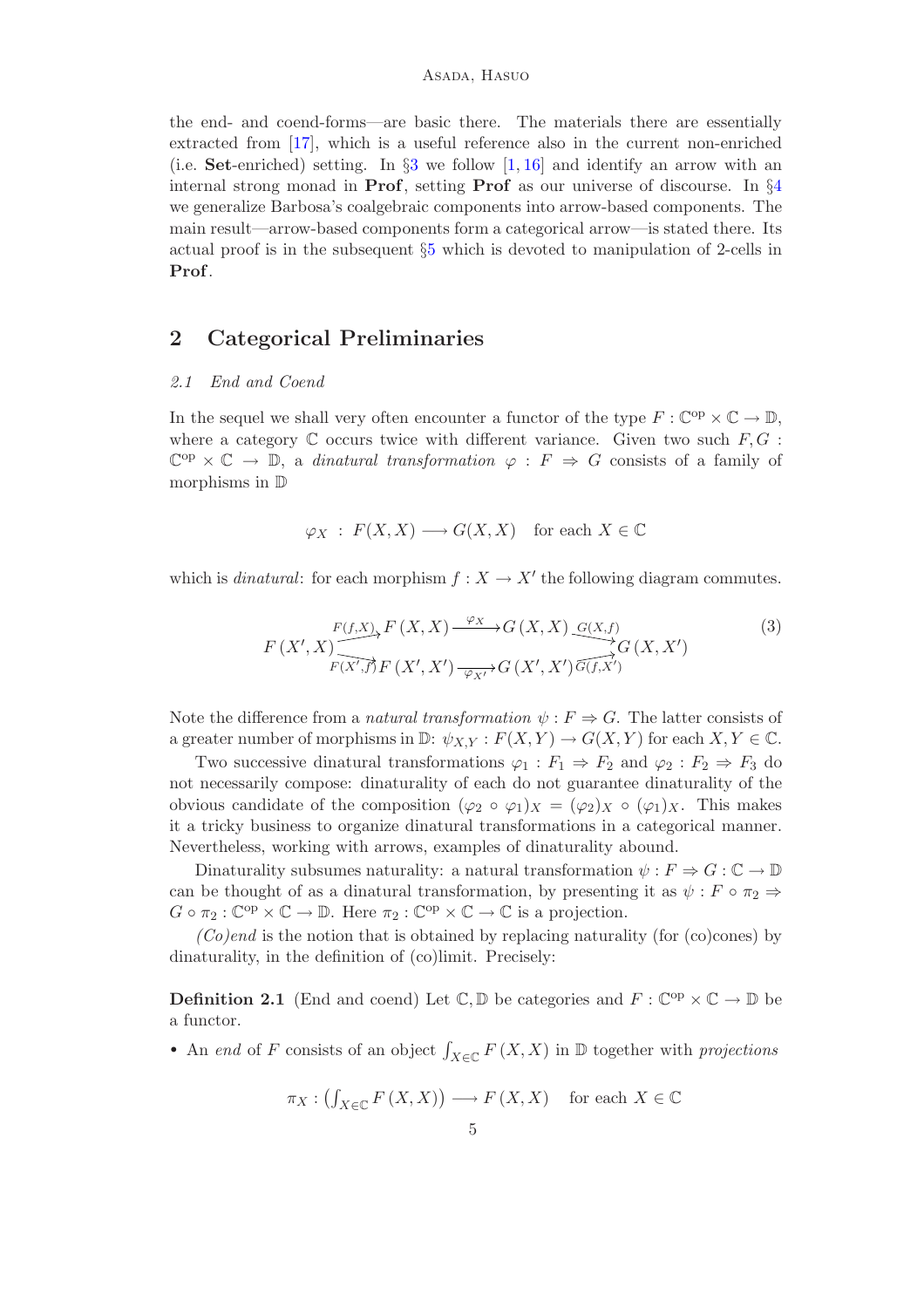the end- and coend-forms—are basic there. The materials there are essentially extracted from [\[17\]](#page-20-7), which is a useful reference also in the current non-enriched (i.e. Set-enriched) setting. In  $\S3$  $\S3$  we follow [\[1,](#page-19-7) [16\]](#page-20-4) and identify an arrow with an internal strong monad in **Prof**, setting **Prof** as our universe of discourse. In  $\S$ [4](#page-13-0) we generalize Barbosa's coalgebraic components into arrow-based components. The main result—arrow-based components form a categorical arrow—is stated there. Its actual proof is in the subsequent §[5](#page-16-0) which is devoted to manipulation of 2-cells in Prof.

# <span id="page-4-2"></span><span id="page-4-0"></span>2 Categorical Preliminaries

### *2.1 End and Coend*

In the sequel we shall very often encounter a functor of the type  $F : \mathbb{C}^{op} \times \mathbb{C} \to \mathbb{D}$ , where a category  $\mathbb C$  occurs twice with different variance. Given two such  $F, G$ :  $\mathbb{C}^{op} \times \mathbb{C} \to \mathbb{D}$ , a *dinatural transformation*  $\varphi : F \Rightarrow G$  consists of a family of morphisms in D

$$
\varphi_X \,:\, F(X,X) \longrightarrow G(X,X) \quad \text{for each } X \in \mathbb{C}
$$

which is *dinatural*: for each morphism  $f : X \to X'$  the following diagram commutes.

$$
F(X', X) \xrightarrow{F(f,X)} F(X, X) \xrightarrow{\varphi_X} G(X, X) \xrightarrow{G(X, f)} G(X, X')
$$
\n
$$
F(X', f) F(X', X') \xrightarrow{\varphi_{X'}} G(X', X') \overrightarrow{G(f, X')}
$$
\n
$$
(3)
$$

Note the difference from a *natural transformation*  $\psi : F \Rightarrow G$ . The latter consists of a greater number of morphisms in  $\mathbb{D}$ :  $\psi_{X,Y} : F(X,Y) \to G(X,Y)$  for each  $X,Y \in \mathbb{C}$ .

Two successive dinatural transformations  $\varphi_1 : F_1 \Rightarrow F_2$  and  $\varphi_2 : F_2 \Rightarrow F_3$  do not necessarily compose: dinaturality of each do not guarantee dinaturality of the obvious candidate of the composition  $(\varphi_2 \circ \varphi_1)_X = (\varphi_2)_X \circ (\varphi_1)_X$ . This makes it a tricky business to organize dinatural transformations in a categorical manner. Nevertheless, working with arrows, examples of dinaturality abound.

Dinaturality subsumes naturality: a natural transformation  $\psi : F \Rightarrow G : \mathbb{C} \to \mathbb{D}$ can be thought of as a dinatural transformation, by presenting it as  $\psi : F \circ \pi_2 \Rightarrow$  $G \circ \pi_2 : \mathbb{C}^{op} \times \mathbb{C} \to \mathbb{D}$ . Here  $\pi_2 : \mathbb{C}^{op} \times \mathbb{C} \to \mathbb{C}$  is a projection.

 $(Co)$ *end* is the notion that is obtained by replacing naturality (for (co)cones) by dinaturality, in the definition of (co)limit. Precisely:

<span id="page-4-1"></span>**Definition 2.1** (End and coend) Let  $\mathbb{C}, \mathbb{D}$  be categories and  $F : \mathbb{C}^{op} \times \mathbb{C} \to \mathbb{D}$  be a functor.

• An *end* of F consists of an object  $\int_{X \in \mathbb{C}} F(X, X)$  in  $\mathbb{D}$  together with *projections* 

$$
\pi_X: \left( f_{X \in \mathbb{C}} F(X, X) \right) \longrightarrow F(X, X) \quad \text{for each } X \in \mathbb{C}
$$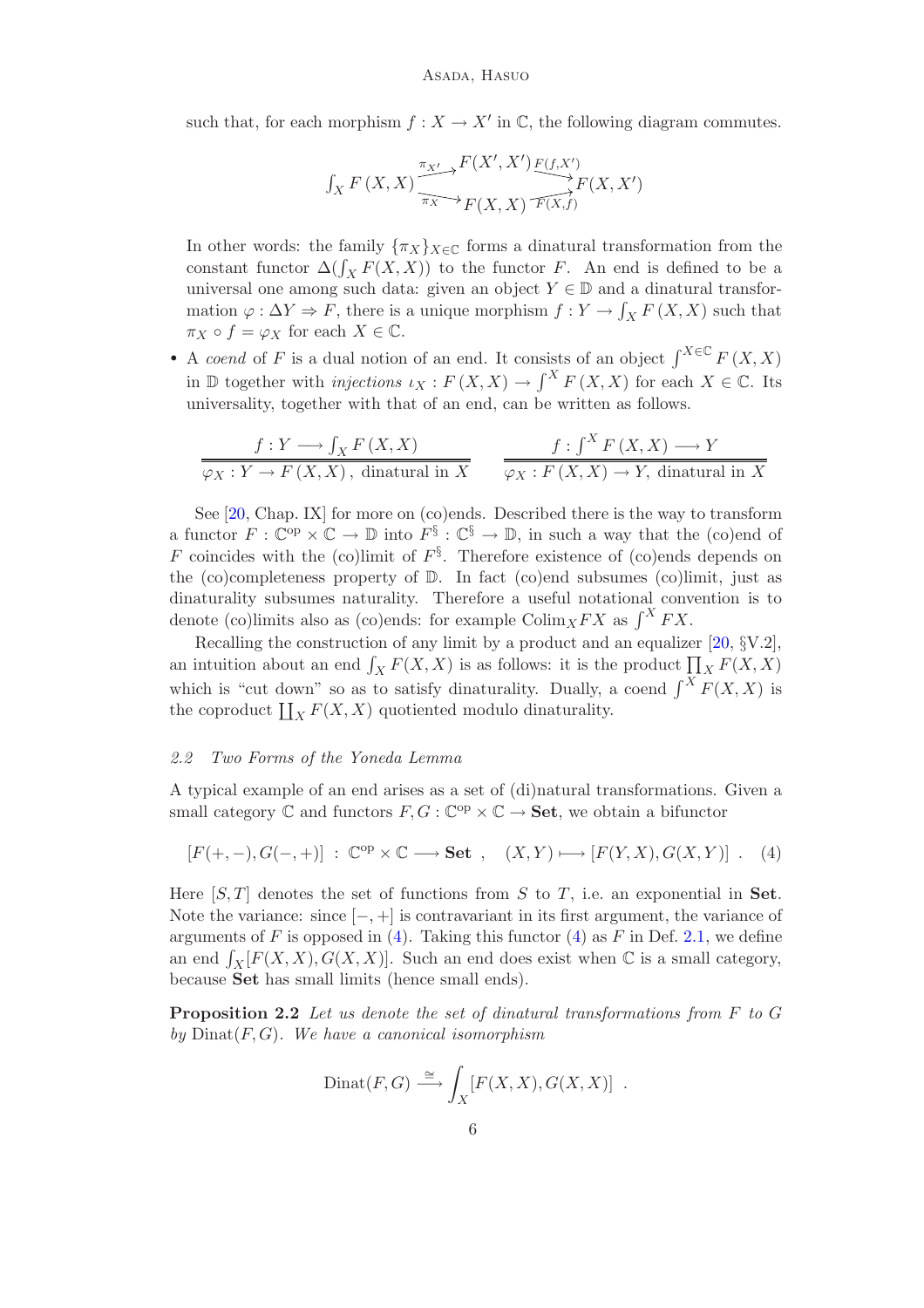such that, for each morphism  $f: X \to X'$  in  $\mathbb{C}$ , the following diagram commutes.

$$
\int_X F(X, X) \xrightarrow{\pi_{X'} \to F(X', X')} \underbrace{F(X', X') \xrightarrow{\mathcal{F}(f, X')}}_{F(X, X)}
$$

In other words: the family  $\{\pi_X\}_{X\in\mathbb{C}}$  forms a dinatural transformation from the constant functor  $\Delta(\int_X F(X,X))$  to the functor F. An end is defined to be a universal one among such data: given an object  $Y \in \mathbb{D}$  and a dinatural transformation  $\varphi : \Delta Y \Rightarrow F$ , there is a unique morphism  $f : Y \to \int_X F(X, X)$  such that  $\pi_X \circ f = \varphi_X$  for each  $X \in \mathbb{C}$ .

• A *coend* of F is a dual notion of an end. It consists of an object  $\int^{X \in \mathbb{C}} F(X,X)$ in  $\mathbb D$  together with *injections*  $\iota_X : F(X,X) \to \int^X F(X,X)$  for each  $X \in \mathbb C$ . Its universality, together with that of an end, can be written as follows.

$$
\frac{f:Y \longrightarrow \int_X F(X,X)}{\varphi_X:Y \to F(X,X), \text{ dinatural in } X} \qquad \frac{f: \int^X F(X,X) \longrightarrow Y}{\varphi_X: F(X,X) \to Y, \text{ dinatural in } X}
$$

See [\[20,](#page-20-8) Chap. IX] for more on (co)ends. Described there is the way to transform a functor  $F: \mathbb{C}^{op} \times \mathbb{C} \to \mathbb{D}$  into  $F^{\S}: \mathbb{C}^{\S} \to \mathbb{D}$ , in such a way that the (co)end of F coincides with the (co)limit of  $F^{\S}$ . Therefore existence of (co)ends depends on the (co)completeness property of  $\mathbb D$ . In fact (co)end subsumes (co)limit, just as dinaturality subsumes naturality. Therefore a useful notational convention is to denote (co)limits also as (co)ends: for example  $\text{Colim}_X FX$  as  $\int^X FX$ .

Recalling the construction of any limit by a product and an equalizer [\[20,](#page-20-8) §V.2], an intuition about an end  $\int_X F(X,X)$  is as follows: it is the product  $\prod_{X} F(X,X)$ which is "cut down" so as to satisfy dinaturality. Dually, a coend  $\int^X F(X, X)$  is the coproduct  $\coprod_X F(X,X)$  quotiented modulo dinaturality.

### *2.2 Two Forms of the Yoneda Lemma*

A typical example of an end arises as a set of (di)natural transformations. Given a small category  $\mathbb C$  and functors  $F, G : \mathbb C^{op} \times \mathbb C \to \mathbf{Set}$ , we obtain a bifunctor

$$
[F(+,-),G(-,+)] \; : \; \mathbb{C}^{op} \times \mathbb{C} \longrightarrow \mathbf{Set} \; , \quad (X,Y) \longmapsto [F(Y,X),G(X,Y)] \; . \quad (4)
$$

Here  $[S, T]$  denotes the set of functions from S to T, i.e. an exponential in Set. Note the variance: since  $[-,+]$  is contravariant in its first argument, the variance of arguments of F is opposed in [\(4\)](#page-5-0). Taking this functor [\(4\)](#page-5-0) as F in Def. [2.1,](#page-4-1) we define an end  $\int_X [F(X,X),G(X,X)]$ . Such an end does exist when  $\mathbb C$  is a small category, because Set has small limits (hence small ends).

<span id="page-5-1"></span>Proposition 2.2 *Let us denote the set of dinatural transformations from* F *to* G *by* Dinat(F,G)*. We have a canonical isomorphism*

<span id="page-5-0"></span>
$$
Dinat(F, G) \xrightarrow{\cong} \int_X [F(X, X), G(X, X)] .
$$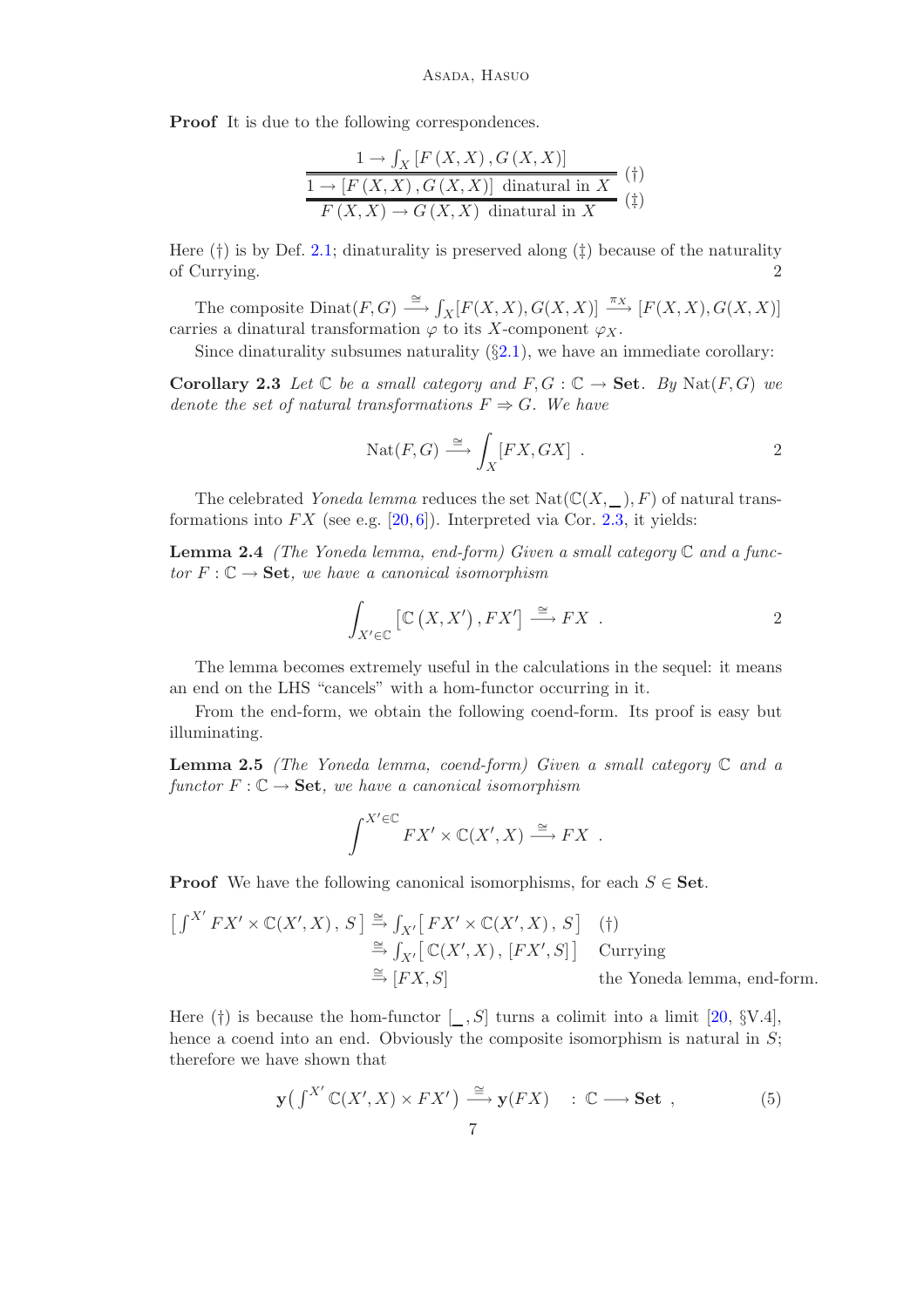Proof It is due to the following correspondences.

$$
\frac{1 \to \int_X \left[ F(X, X), G(X, X) \right]}{1 \to \left[ F(X, X), G(X, X) \right] \text{ dintural in } X} \text{ (†)}
$$
  

$$
\overline{F(X, X) \to G(X, X) \text{ dintural in } X} \text{ (†)}
$$

Here  $(\dagger)$  is by Def. [2.1;](#page-4-1) dinaturality is preserved along  $(\dagger)$  because of the naturality of Currying. 2

The composite  $Dinat(F, G) \stackrel{\cong}{\longrightarrow} \int_X [F(X,X), G(X,X)] \stackrel{\pi_X}{\longrightarrow} [F(X,X), G(X,X)]$ carries a dinatural transformation  $\varphi$  to its X-component  $\varphi_X$ .

Since dinaturality subsumes naturality  $(\S 2.1)$  $(\S 2.1)$ , we have an immediate corollary:

<span id="page-6-0"></span>**Corollary 2.3** Let  $\mathbb C$  be a small category and  $F, G: \mathbb C \to \mathbf{Set}$ . By  $\text{Nat}(F, G)$  we *denote the set of natural transformations*  $F \Rightarrow G$ *. We have* 

$$
Nat(F, G) \xrightarrow{\cong} \int_X [FX, GX] .
$$

The celebrated *Yoneda lemma* reduces the set  $\text{Nat}(\mathbb{C}(X, \_), F)$  of natural transformations into  $FX$  (see e.g. [\[20,](#page-20-8) [6\]](#page-19-8)). Interpreted via Cor. [2.3,](#page-6-0) it yields:

<span id="page-6-3"></span>Lemma 2.4 *(The Yoneda lemma, end-form) Given a small category* C *and a func* $tor F: \mathbb{C} \to \mathbf{Set}$ , we have a canonical isomorphism

$$
\int_{X' \in \mathbb{C}} \left[ \mathbb{C} \left( X, X' \right), FX' \right] \stackrel{\cong}{\longrightarrow} FX \quad .
$$

The lemma becomes extremely useful in the calculations in the sequel: it means an end on the LHS "cancels" with a hom-functor occurring in it.

From the end-form, we obtain the following coend-form. Its proof is easy but illuminating.

<span id="page-6-2"></span>Lemma 2.5 *(The Yoneda lemma, coend-form) Given a small category* C *and a functor*  $F: \mathbb{C} \to \mathbf{Set}$ , we have a canonical isomorphism

$$
\int^{X' \in \mathbb{C}} F X' \times \mathbb{C}(X', X) \xrightarrow{\cong} FX .
$$

**Proof** We have the following canonical isomorphisms, for each  $S \in$  Set.

$$
\begin{aligned}\n\left[\int^{X'} FX' \times \mathbb{C}(X', X), S\right] &\stackrel{\cong}{\Rightarrow} \int_{X'} \left[ FX' \times \mathbb{C}(X', X), S\right] & \text{(†)}\\
&\stackrel{\cong}{\Rightarrow} \int_{X'} \left[\mathbb{C}(X', X), [FX', S]\right] & \text{Currying} \\
&\stackrel{\cong}{\Rightarrow} \left[FX, S\right] & \text{the Yoneda lemma, end-form.}\n\end{aligned}
$$

Here (†) is because the hom-functor  $[-, S]$  turns a colimit into a limit [\[20,](#page-20-8) §V.4], hence a coend into an end. Obviously the composite isomorphism is natural in  $S$ ; therefore we have shown that

<span id="page-6-1"></span>
$$
\mathbf{y}(\int^{X'} \mathbb{C}(X', X) \times FX') \stackrel{\cong}{\longrightarrow} \mathbf{y}(FX) \quad : \mathbb{C} \longrightarrow \mathbf{Set} \ , \tag{5}
$$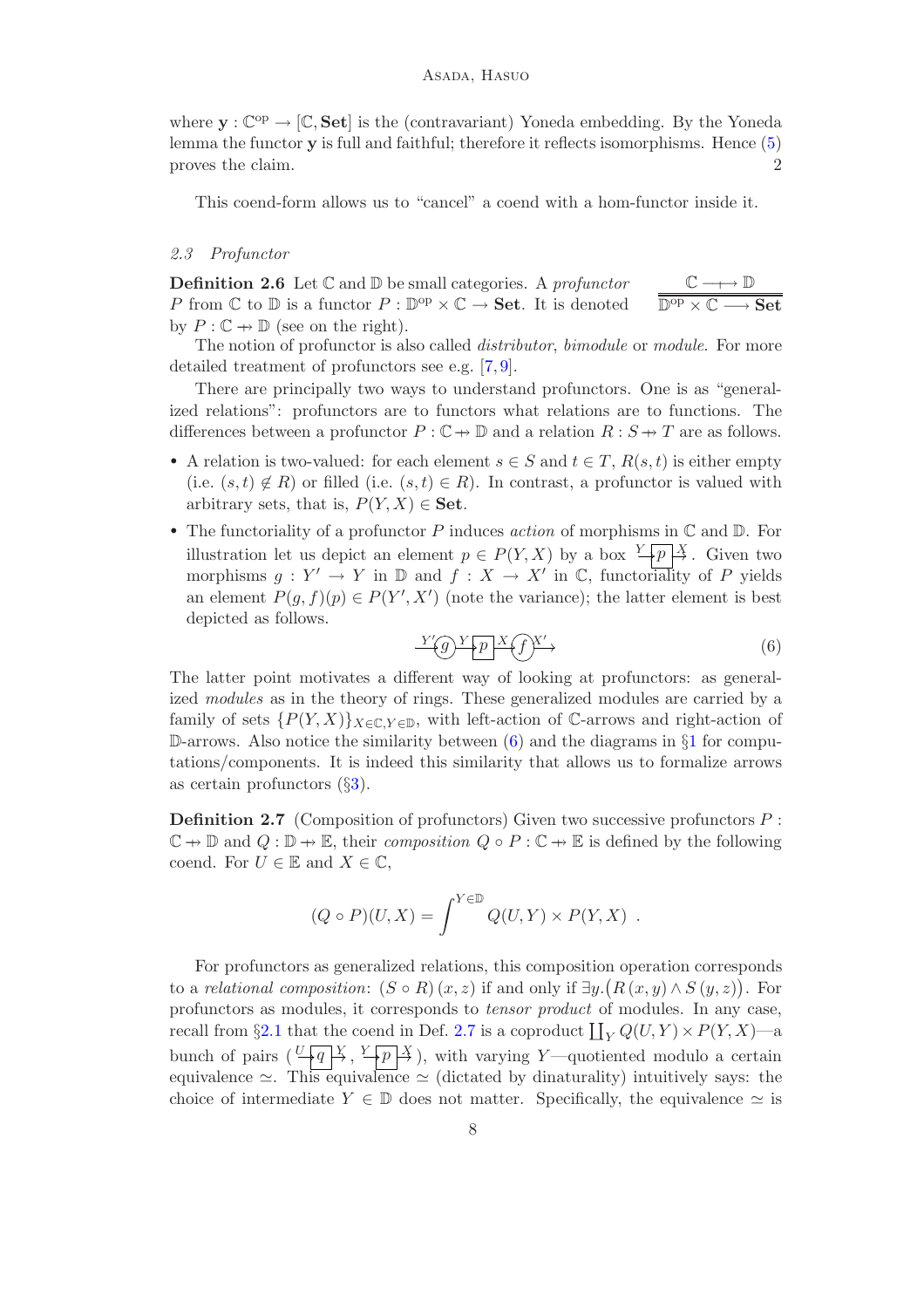where  $\mathbf{y}: \mathbb{C}^{op} \to [\mathbb{C}, \mathbf{Set}]$  is the (contravariant) Yoneda embedding. By the Yoneda lemma the functor y is full and faithful; therefore it reflects isomorphisms. Hence [\(5\)](#page-6-1) proves the claim. 2

This coend-form allows us to "cancel" a coend with a hom-functor inside it.

### *2.3 Profunctor*

Definition 2.6 Let C and D be small categories. A *profunctor* P from  $\mathbb C$  to  $\mathbb D$  is a functor  $P : \mathbb D^{\rm op} \times \mathbb C \to \mathbf{Set}$ . It is denoted by  $P: \mathbb{C} \to \mathbb{D}$  (see on the right).  $\mathbb{C} \longrightarrow \mathbb{D}$  $\overline{\mathbb{D}^\mathrm{op} \times \mathbb{C} \longrightarrow \mathbf{Set}}$ 

The notion of profunctor is also called *distributor*, *bimodule* or *module*. For more detailed treatment of profunctors see e.g. [\[7,](#page-19-9) [9\]](#page-19-10).

There are principally two ways to understand profunctors. One is as "generalized relations": profunctors are to functors what relations are to functions. The differences between a profunctor  $P : \mathbb{C} \to \mathbb{D}$  and a relation  $R : S \to T$  are as follows.

- A relation is two-valued: for each element  $s \in S$  and  $t \in T$ ,  $R(s,t)$  is either empty (i.e.  $(s,t) \notin R$ ) or filled (i.e.  $(s,t) \in R$ ). In contrast, a profunctor is valued with arbitrary sets, that is,  $P(Y, X) \in \mathbf{Set}$ .
- The functoriality of a profunctor P induces *action* of morphisms in C and D. For illustration let us depict an element  $p \in P(Y, X)$  by a box  $\frac{Y}{p} \downarrow \frac{X}{p}$ . Given two morphisms  $g: Y' \to Y$  in  $\mathbb D$  and  $f: X \to X'$  in  $\mathbb C$ , functoriality of P yields an element  $P(g, f)(p) \in P(Y', X')$  (note the variance); the latter element is best depicted as follows.

<span id="page-7-0"></span>
$$
\frac{Y'(g)Y(p)X(f)X'}{Y'} \tag{6}
$$

The latter point motivates a different way of looking at profunctors: as generalized *modules* as in the theory of rings. These generalized modules are carried by a family of sets  $\{P(Y,X)\}_{X\in\mathbb{C},Y\in\mathbb{D}}$ , with left-action of C-arrows and right-action of D-arrows. Also notice the similarity between  $(6)$  and the diagrams in  $\S1$  $\S1$  for computations/components. It is indeed this similarity that allows us to formalize arrows as certain profunctors  $(\S3)$  $(\S3)$ .

<span id="page-7-1"></span>**Definition 2.7** (Composition of profunctors) Given two successive profunctors  $P$ :  $\mathbb{C} \to \mathbb{D}$  and  $Q : \mathbb{D} \to \mathbb{E}$ , their *composition*  $Q \circ P : \mathbb{C} \to \mathbb{E}$  is defined by the following coend. For  $U \in \mathbb{E}$  and  $X \in \mathbb{C}$ ,

$$
(Q \circ P)(U, X) = \int^{Y \in \mathbb{D}} Q(U, Y) \times P(Y, X) .
$$

For profunctors as generalized relations, this composition operation corresponds to a *relational composition*:  $(S \circ R)(x, z)$  if and only if  $\exists y.(R(x, y) \wedge S(y, z))$ . For profunctors as modules, it corresponds to *tensor product* of modules. In any case, recall from §[2.1](#page-4-2) that the coend in Def. [2.7](#page-7-1) is a coproduct  $\coprod_Y Q(U,Y) \times P(Y,X)$ —a bunch of pairs  $(\frac{U+q}{\lambda}, \frac{Y+p}{\lambda})$ , with varying Y—quotiented modulo a certain equivalence  $\simeq$ . This equivalence  $\simeq$  (dictated by dinaturality) intuitively says: the choice of intermediate  $Y \in \mathbb{D}$  does not matter. Specifically, the equivalence  $\simeq$  is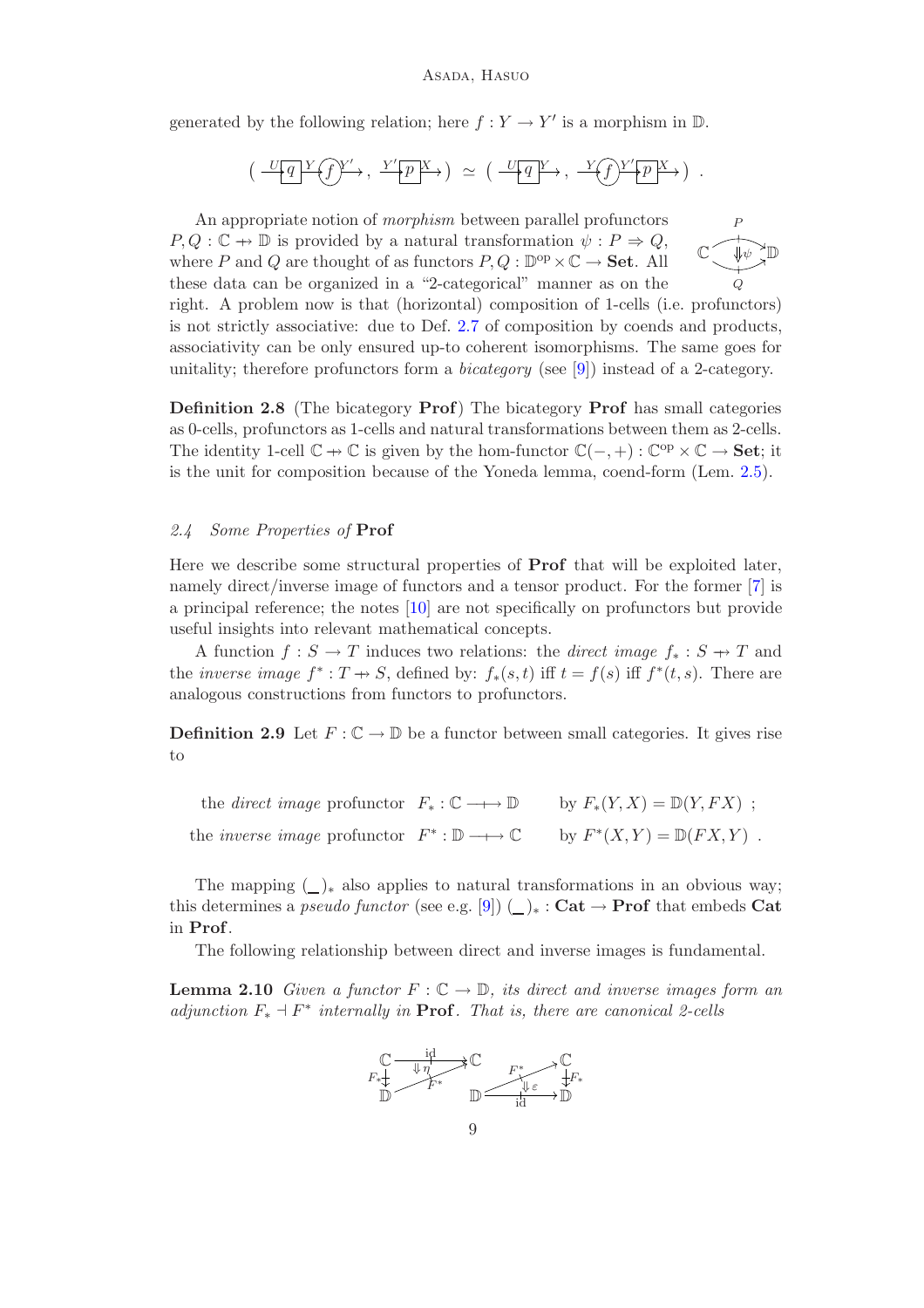generated by the following relation; here  $f: Y \to Y'$  is a morphism in  $D$ .

$$
\left(\begin{array}{c}\nU_q Y \overline{f} Y' \rightarrow, Y' p X \rightarrow \end{array}\right) \simeq \left(\begin{array}{c}\nU_q Y \rightarrow, Y' \overline{f} Y' p X \rightarrow \end{array}\right).
$$

 $\overline{C}$ P Q  $_{\psi}$  D An appropriate notion of *morphism* between parallel profunctors  $P, Q : \mathbb{C} \to \mathbb{D}$  is provided by a natural transformation  $\psi : P \to Q$ , where P and Q are thought of as functors  $P, Q : \mathbb{D}^{\text{op}} \times \mathbb{C} \to \mathbf{Set}$ . All these data can be organized in a "2-categorical" manner as on the right. A problem now is that (horizontal) composition of 1-cells (i.e. profunctors) is not strictly associative: due to Def. [2.7](#page-7-1) of composition by coends and products, associativity can be only ensured up-to coherent isomorphisms. The same goes for unitality; therefore profunctors form a *bicategory* (see [\[9\]](#page-19-10)) instead of a 2-category.

Definition 2.8 (The bicategory Prof) The bicategory Prof has small categories as 0-cells, profunctors as 1-cells and natural transformations between them as 2-cells. The identity 1-cell  $\mathbb{C} \to \mathbb{C}$  is given by the hom-functor  $\mathbb{C}(-, +) : \mathbb{C}^{op} \times \mathbb{C} \to \mathbf{Set}$ ; it is the unit for composition because of the Yoneda lemma, coend-form (Lem. [2.5\)](#page-6-2).

#### <span id="page-8-1"></span>*2.4 Some Properties of* Prof

Here we describe some structural properties of Prof that will be exploited later, namely direct/inverse image of functors and a tensor product. For the former [\[7\]](#page-19-9) is a principal reference; the notes [\[10\]](#page-19-11) are not specifically on profunctors but provide useful insights into relevant mathematical concepts.

A function  $f : S \to T$  induces two relations: the *direct image*  $f_* : S \to T$  and the *inverse image*  $f^*: T \to S$ , defined by:  $f_*(s,t)$  iff  $t = f(s)$  iff  $f^*(t,s)$ . There are analogous constructions from functors to profunctors.

<span id="page-8-0"></span>**Definition 2.9** Let  $F: \mathbb{C} \to \mathbb{D}$  be a functor between small categories. It gives rise to

the *direct image* profunctor  $F_* : \mathbb{C} \longrightarrow \mathbb{D}$  by  $F_*(Y, X) = \mathbb{D}(Y, FX)$ ; the *inverse image* profunctor  $F^* : \mathbb{D} \longrightarrow \mathbb{C}$  by  $F^*(X, Y) = \mathbb{D}(FX, Y)$ .

The mapping  $(\_)_*$  also applies to natural transformations in an obvious way; this determines a *pseudo functor* (see e.g. [\[9\]](#page-19-10))  $\left(\_\right)_* : \mathbf{Cat} \to \mathbf{Prof}$  that embeds  $\mathbf{Cat}$ in Prof.

The following relationship between direct and inverse images is fundamental.

**Lemma 2.10** *Given a functor*  $F : \mathbb{C} \to \mathbb{D}$ , *its direct and inverse images form an adjunction* F<sup>∗</sup> ⊣ F ∗ *internally in* Prof*. That is, there are canonical 2-cells*

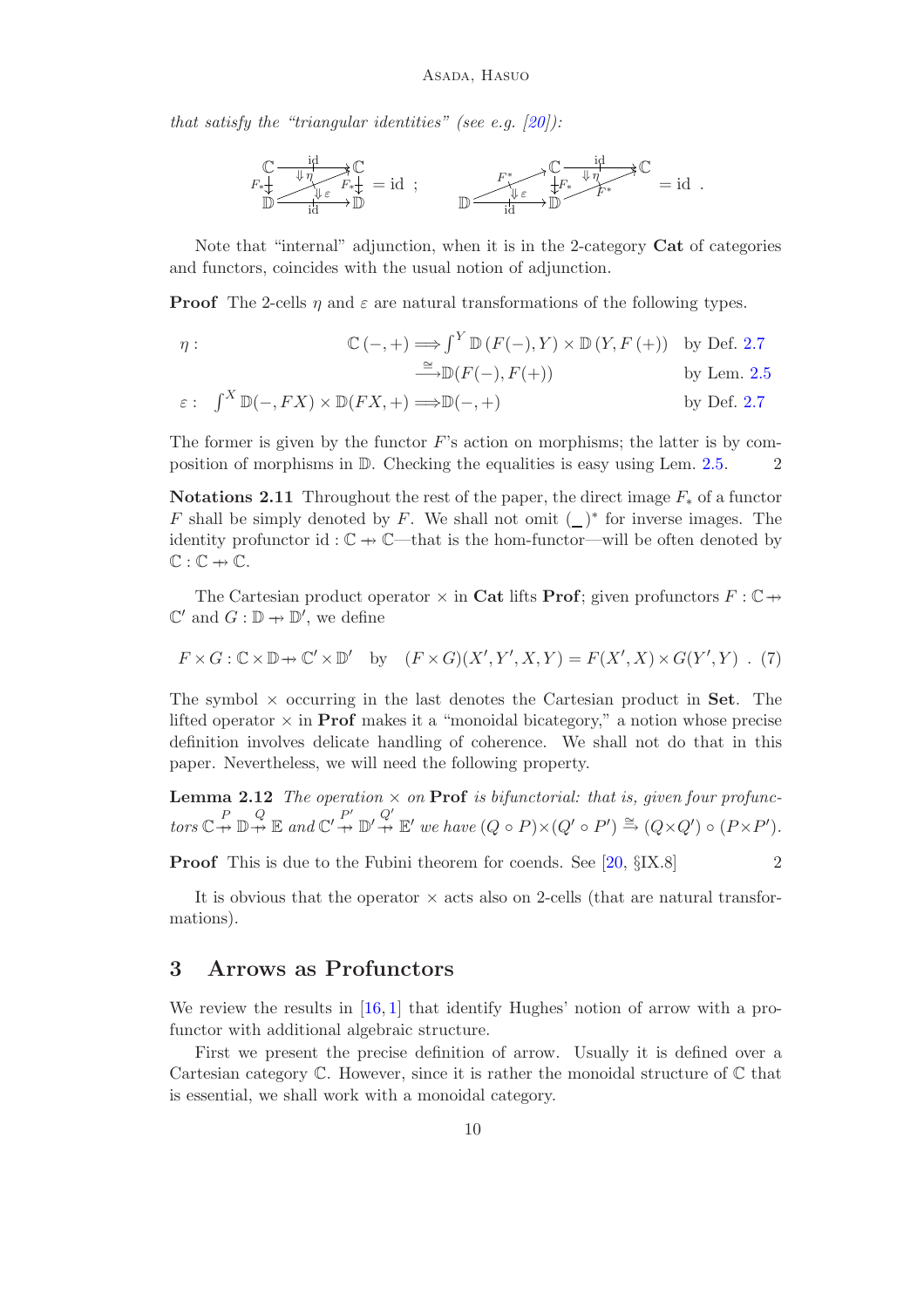*that satisfy the "triangular identities" (see e.g. [\[20\]](#page-20-8)):*

$$
\mathbb{C}\underset{\mathbb{D}}{\xrightarrow{\text{id}}\xrightarrow{\text{up}}\mathbb{C}}\mathbb{C}\underset{\mathbb{I}^d\atop\text{id}}{\xrightarrow{\text{up}}\mathbb{C}}\mathbb{R}\underset{\mathbb{I}^d}{\xrightarrow{\text{up}}\mathbb{D}}\text{id}\text{ ;\qquad }\mathbb{D}\xrightarrow{\qquad F^*_{\mathbb{I}^*}\xrightarrow{\text{up}}\mathbb{C}}\mathbb{D}\xrightarrow{\text{id}}\mathbb{R}^*}\mathbb{C}\text{ = id}\text{ .}
$$

Note that "internal" adjunction, when it is in the 2-category Cat of categories and functors, coincides with the usual notion of adjunction.

**Proof** The 2-cells  $\eta$  and  $\varepsilon$  are natural transformations of the following types.

$$
\eta: \qquad \mathbb{C}(-,+) \Longrightarrow \int^Y \mathbb{D}\left(F(-),Y\right) \times \mathbb{D}\left(Y,F\left(+\right)\right) \quad \text{by Def. 2.7}
$$
\n
$$
\stackrel{\cong}{\longrightarrow} \mathbb{D}(F(-),F(+)) \qquad \text{by Lem. 2.5}
$$

$$
\varepsilon: \quad \int^X \mathbb{D}(-, FX) \times \mathbb{D}(FX, +) \Longrightarrow \mathbb{D}(-, +)
$$
 by Def. 2.7

The former is given by the functor  $F$ 's action on morphisms; the latter is by composition of morphisms in  $\mathbb D$ . Checking the equalities is easy using Lem. [2.5.](#page-6-2) 2

<span id="page-9-2"></span>Notations 2.11 Throughout the rest of the paper, the direct image  $F_*$  of a functor F shall be simply denoted by F. We shall not omit  $($ )<sup>\*</sup> for inverse images. The identity profunctor id :  $\mathbb{C} \rightarrow \mathbb{C}$ —that is the hom-functor—will be often denoted by  $\mathbb{C} : \mathbb{C} \to \mathbb{C}.$ 

The Cartesian product operator  $\times$  in Cat lifts Prof; given profunctors  $F: \mathbb{C} \rightarrow$  $\mathbb{C}'$  and  $G : \mathbb{D} \to \mathbb{D}'$ , we define

<span id="page-9-3"></span>
$$
F \times G : \mathbb{C} \times \mathbb{D} \to \mathbb{C}' \times \mathbb{D}' \quad \text{by} \quad (F \times G)(X', Y', X, Y) = F(X', X) \times G(Y', Y) \quad (7)
$$

The symbol  $\times$  occurring in the last denotes the Cartesian product in **Set**. The lifted operator  $\times$  in **Prof** makes it a "monoidal bicategory," a notion whose precise definition involves delicate handling of coherence. We shall not do that in this paper. Nevertheless, we will need the following property.

<span id="page-9-4"></span>**Lemma 2.12** *The operation*  $\times$  *on* **Prof** *is bifunctorial: that is, given four profunc* $tors \, \mathbb{C} \stackrel{P}{\rightarrow} \mathbb{D} \stackrel{Q}{\rightarrow} \mathbb{E} \text{ and } \mathbb{C}' \stackrel{P'}{\rightarrow} \mathbb{D}' \stackrel{Q'}{\rightarrow} \mathbb{E}' \text{ we have } (Q \circ P) \times (Q' \circ P') \stackrel{\cong}{\rightarrow} (Q \times Q') \circ (P \times P').$ 

**Proof** This is due to the Fubini theorem for coends. See [\[20,](#page-20-8) §IX.8] 2

It is obvious that the operator  $\times$  acts also on 2-cells (that are natural transformations).

### <span id="page-9-1"></span>3 Arrows as Profunctors

We review the results in [\[16,](#page-20-4) [1\]](#page-19-7) that identify Hughes' notion of arrow with a profunctor with additional algebraic structure.

<span id="page-9-0"></span>First we present the precise definition of arrow. Usually it is defined over a Cartesian category  $\mathbb C$ . However, since it is rather the monoidal structure of  $\mathbb C$  that is essential, we shall work with a monoidal category.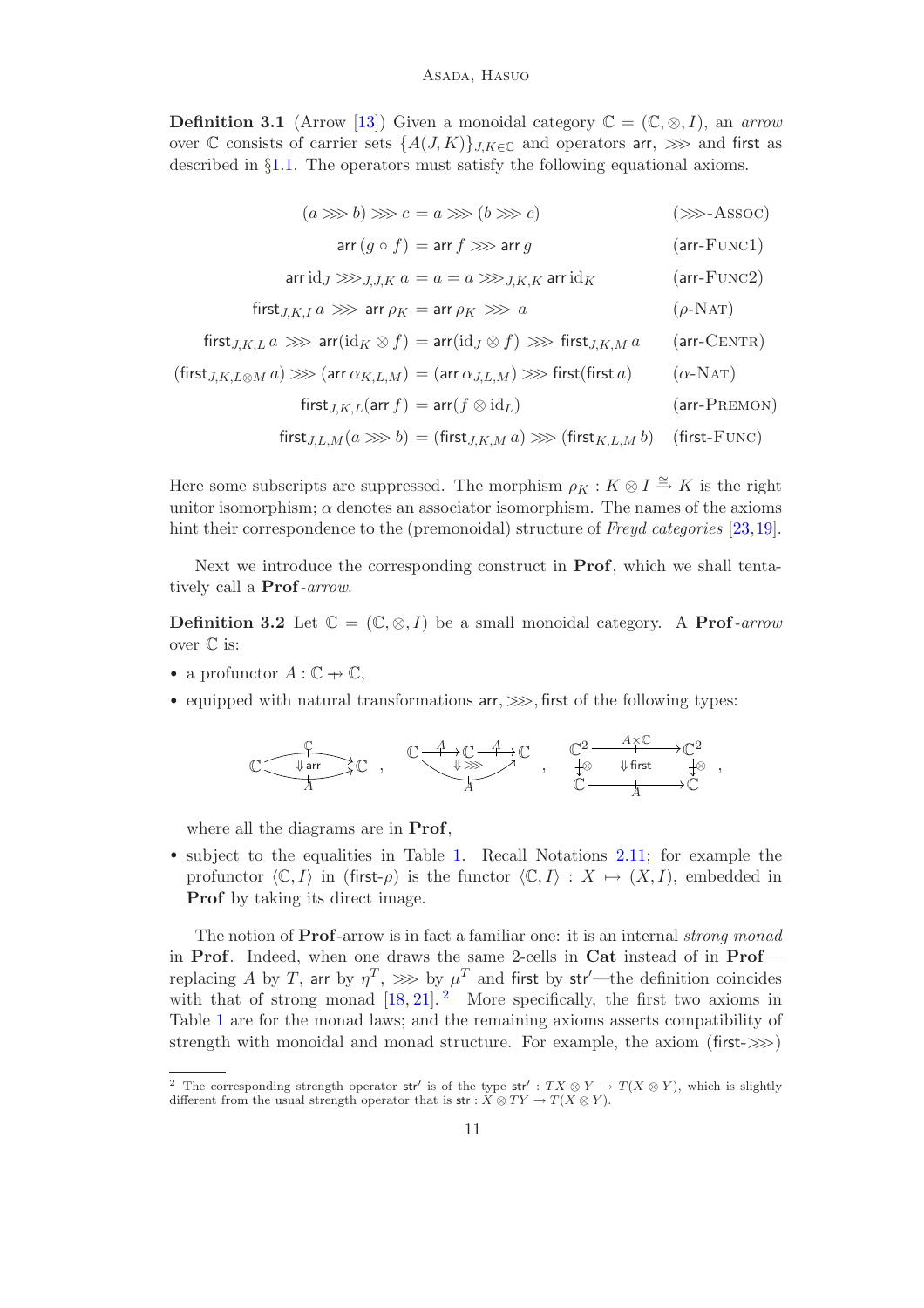**Definition 3.1** (Arrow [\[13\]](#page-19-0)) Given a monoidal category  $\mathbb{C} = (\mathbb{C}, \otimes, I)$ , an *arrow* over C consists of carrier sets  $\{A(J,K)\}_{J,K\in\mathbb{C}}$  and operators arr,  $\gg$  and first as described in §[1.1.](#page-0-1) The operators must satisfy the following equational axioms.

$$
(a \ggg b) \ggg c = a \ggg (b \ggg c) \qquad (\ggg\to \text{ASSOC})
$$

$$
\operatorname{arr}(g \circ f) = \operatorname{arr} f \gg \operatorname{arr} g \tag{arr-Funcl}
$$

$$
\text{arr} \,\mathrm{id}_J \ggg_{J,J,K} a = a = a \ggg_{J,K,K} \,\text{arr} \,\mathrm{id}_K \tag{arr-Func2}
$$

$$
first_{J,K,I} a \gg\!\gg \text{arr } \rho_K = \text{arr } \rho_K \gg\!\gg a \qquad (\rho\text{-NAT})
$$

$$
\mathsf{first}_{J,K,L} \, a \, \ggg \, \mathsf{arr}(\mathrm{id}_K \otimes f) = \mathsf{arr}(\mathrm{id}_J \otimes f) \, \ggg \, \mathsf{first}_{J,K,M} \, a \qquad \mathsf{(arr-CENTR)}
$$

$$
(\text{first}_{J,K,L\otimes M} a)\ggg (\text{arr }\alpha_{K,L,M})=(\text{arr }\alpha_{J,L,M})\ggg \text{first}(\text{first }a)\qquad (\alpha\text{-NAT})
$$

$$
\text{first}_{J,K,L}(\text{arr } f) = \text{arr}(f \otimes \text{id}_L) \tag{arr-PREMON}
$$

$$
first_{J,L,M}(a \ggg b) = (first_{J,K,M} a) \ggg (first_{K,L,M} b) \quad (first-FUNC)
$$

Here some subscripts are suppressed. The morphism  $\rho_K : K \otimes I \stackrel{\cong}{\to} K$  is the right unitor isomorphism;  $\alpha$  denotes an associator isomorphism. The names of the axioms hint their correspondence to the (premonoidal) structure of *Freyd categories* [\[23,](#page-20-2)[19\]](#page-20-3).

Next we introduce the corresponding construct in Prof, which we shall tentatively call a Prof*-arrow*.

<span id="page-10-1"></span>**Definition 3.2** Let  $\mathbb{C} = (\mathbb{C}, \otimes, I)$  be a small monoidal category. A **Prof**-arrow over  $\mathbb C$  is:

- a profunctor  $A: \mathbb{C} \to \mathbb{C}$ ,
- equipped with natural transformations  $\text{arr}, \ggg$ , first of the following types:

$$
\mathbb{C}\xrightarrow[\begin{array}{c} \downarrow \\ A \end{array}]{{\mathbb{C}} \xrightarrow[\begin{array}{c} \downarrow \\ A \end{array}]{{\mathbb{C}} \xrightarrow[\begin{array}{c} \downarrow \\ A \end{array}]{{\mathbb{C}} \xrightarrow[\begin{array}{c} \downarrow \\ A \end{array}]{{\mathbb{C}} \xrightarrow[\begin{array}{c} \downarrow \\ A \end{array}]{{\mathbb{C}} \xrightarrow[\begin{array}{c} \downarrow \\ A \end{array}]{{\mathbb{C}} \xrightarrow[\begin{array}{c} \downarrow \\ A \end{array}]{{\mathbb{C}} \xrightarrow[\begin{array}{c} \downarrow \\ A \end{array}]{{\mathbb{C}} \xrightarrow[\begin{array}{c} \downarrow \\ A \end{array}]{{\mathbb{C}} \xrightarrow[\begin{array}{c} \downarrow \\ A \end{array}]{{\mathbb{C}} \xrightarrow[\begin{array}{c} \downarrow \\ A \end{array}]{{\mathbb{C}} \xrightarrow[\begin{array}{c} \downarrow \\ A \end{array}]{{\mathbb{C}} \xrightarrow[\begin{array}{c} \downarrow \\ A \end{array}]{{\mathbb{C}} \xrightarrow[\begin{array}{c} \downarrow \\ A \end{array}]{{\mathbb{C}} \xrightarrow[\begin{array}{c} \downarrow \\ A \end{array}]{{\mathbb{C}} \xrightarrow[\begin{array}{c} \downarrow \\ A \end{array}]{{\mathbb{C}} \xrightarrow[\begin{array}{c} \downarrow \\ A \end{array}]{{\mathbb{C}} \xrightarrow[\begin{array}{c} \downarrow \\ A \end{array}]{{\mathbb{C}} \xrightarrow[\begin{array}{c} \downarrow \\ A \end{array}]{{\mathbb{C}} \xrightarrow[\begin{array}{c} \downarrow \\ A \end{array}]{{\mathbb{C}} \xrightarrow[\begin{array}{c} \downarrow \\ A \end{array}]{{\mathbb{C}} \xrightarrow[\begin{array}{c} \downarrow \\ A \end{array}]{{\mathbb{C}} \xrightarrow[\begin{array}{c} \downarrow \\ A \end{array}]{{\mathbb{C}} \xrightarrow[\begin{array}{c} \downarrow \\ A \end{array}]{{\mathbb{C}} \xrightarrow[\begin{array}{c} \downarrow \\ A \end{array}]{{\mathbb{C}} \xrightarrow[\begin{array}{c} \downarrow \\ A \end{array}]{{\mathbb{C}} \xrightarrow[\begin{array}{c} \downarrow \\ A \end{array}]{{\mathbb{C}} \xrightarrow[\begin{array}{c} \downarrow \\ A \end{array}]{{\mathbb{C
$$

where all the diagrams are in Prof,

• subject to the equalities in Table [1.](#page-11-0) Recall Notations [2.11;](#page-9-2) for example the profunctor  $\langle \mathbb{C}, I \rangle$  in (first- $\rho$ ) is the functor  $\langle \mathbb{C}, I \rangle : X \mapsto (X, I)$ , embedded in Prof by taking its direct image.

The notion of Prof-arrow is in fact a familiar one: it is an internal *strong monad* in Prof. Indeed, when one draws the same 2-cells in Cat instead of in Prof replacing  $A$  by  $T,$  arr by  $\eta^T, \ggg$  by  $\mu^T$  and first by str'—the definition coincides with that of strong monad  $[18, 21]$  $[18, 21]$ . More specifically, the first two axioms in Table [1](#page-11-0) are for the monad laws; and the remaining axioms asserts compatibility of strength with monoidal and monad structure. For example, the axiom (first- $\gg$ )

<span id="page-10-0"></span><sup>&</sup>lt;sup>2</sup> The corresponding strength operator str' is of the type str' :  $TX \otimes Y \to T(X \otimes Y)$ , which is slightly different from the usual strength operator that is  $\mathsf{str} : X \otimes TY \to T(X \otimes Y)$ .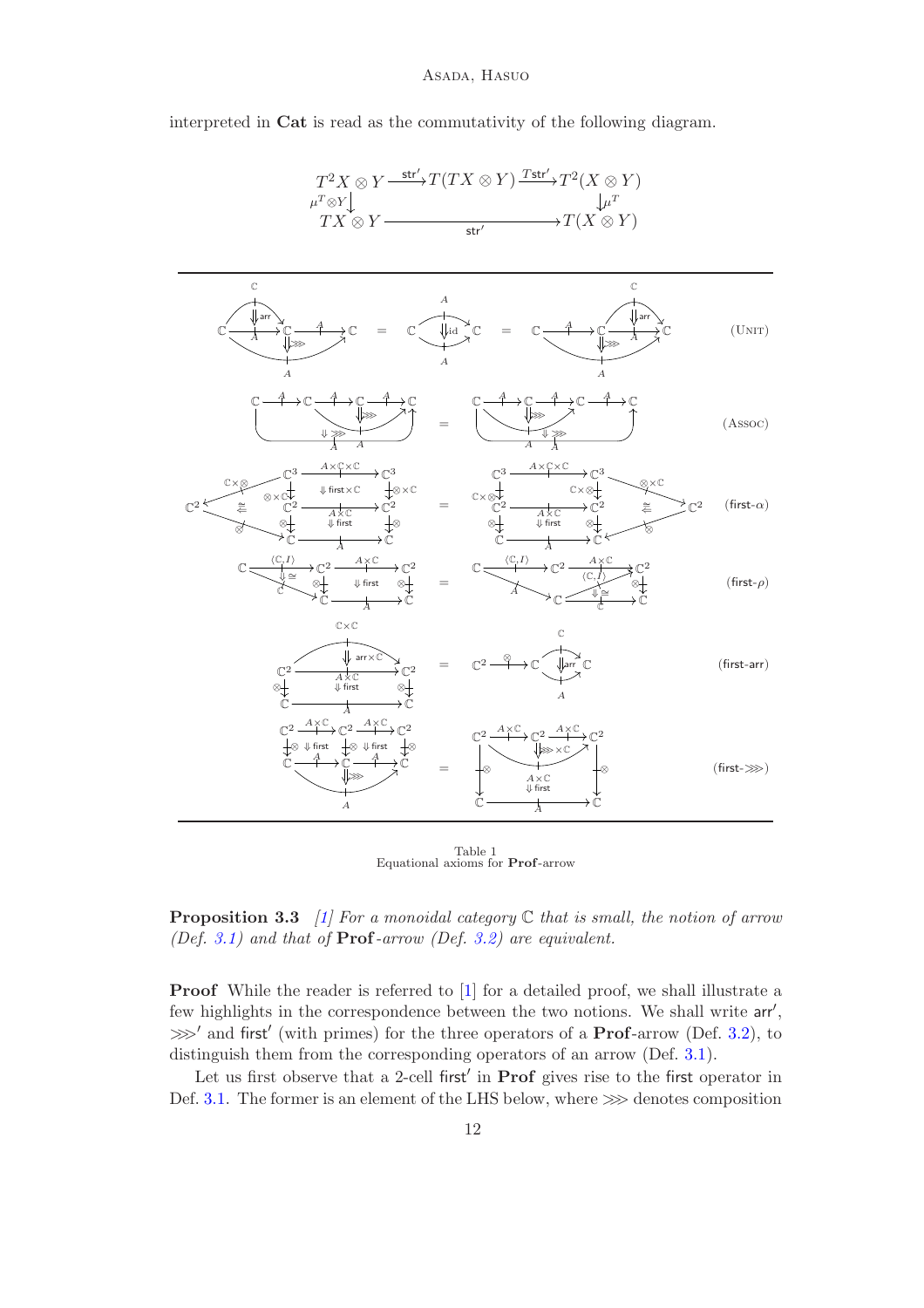### Asada, Hasuo

interpreted in Cat is read as the commutativity of the following diagram.



<span id="page-11-0"></span>Table 1<br>Equational axioms for **Prof**-arrow

<span id="page-11-1"></span>Proposition 3.3 *[\[1\]](#page-19-7) For a monoidal category* C *that is small, the notion of arrow (Def. [3.1\)](#page-9-0) and that of* Prof*-arrow (Def. [3.2\)](#page-10-1) are equivalent.*

Proof While the reader is referred to [\[1\]](#page-19-7) for a detailed proof, we shall illustrate a few highlights in the correspondence between the two notions. We shall write arr', > and first' (with primes) for the three operators of a **Prof**-arrow (Def. [3.2\)](#page-10-1), to distinguish them from the corresponding operators of an arrow (Def. [3.1\)](#page-9-0).

Let us first observe that a 2-cell first' in **Prof** gives rise to the first operator in Def. [3.1.](#page-9-0) The former is an element of the LHS below, where  $\gg$  denotes composition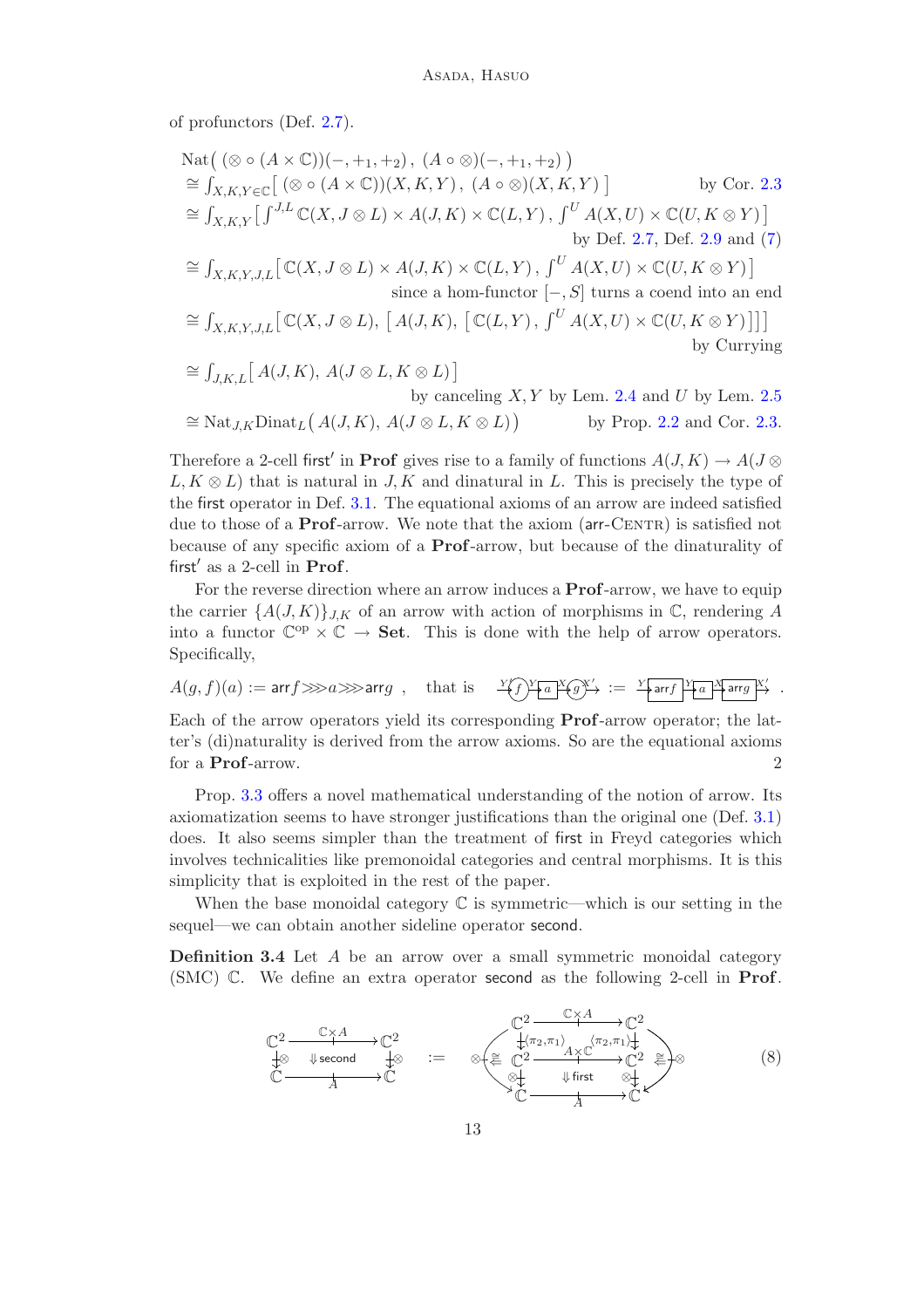of profunctors (Def. [2.7\)](#page-7-1).

$$
\begin{aligned}\n\text{Nat}\big(\ (\otimes \circ (A \times \mathbb{C}))(-, +_1, +_2), (A \circ \otimes)(-, +_1, +_2)\big) \\
&\cong \int_{X,K,Y \in \mathbb{C}} \big[\ (\otimes \circ (A \times \mathbb{C}))(X,K,Y), (A \circ \otimes)(X,K,Y)\big] \qquad \text{by Cor. 2.3} \\
&\cong \int_{X,K,Y} \big[\int^{J,L} \mathbb{C}(X, J \otimes L) \times A(J,K) \times \mathbb{C}(L,Y), \int^U A(X,U) \times \mathbb{C}(U,K \otimes Y)\big] \qquad \text{by Def. 2.7, Def. 2.9 and (7)} \\
&\cong \int_{X,K,Y,J,L} \big[\mathbb{C}(X, J \otimes L) \times A(J,K) \times \mathbb{C}(L,Y), \int^U A(X,U) \times \mathbb{C}(U,K \otimes Y)\big] \qquad \text{since a hom-functor } [-,S] \text{ turns a coend into an end} \\
\cong \int_{X,K,Y,J,L} \big[\mathbb{C}(X, J \otimes L), [A(J,K), [\mathbb{C}(L,Y), \int^U A(X,U) \times \mathbb{C}(U,K \otimes Y)]\big] \big] \\
&\cong \int_{J,K,L} \big[\,A(J,K), A(J \otimes L, K \otimes L)\big] \qquad \text{by canceling } X,Y \text{ by Lem. 2.4 and } U \text{ by Lem. 2.5}\n\end{aligned}
$$

$$
\cong \operatorname{Nat}_{J,K}\operatorname{Dinat}_L(A(J,K), A(J \otimes L, K \otimes L)) \qquad \text{by Prop. 2.2 and Cor. 2.3.}
$$

Therefore a 2-cell first<sup>'</sup> in **Prof** gives rise to a family of functions  $A(J, K) \to A(J \otimes$  $L, K \otimes L$ ) that is natural in J, K and dinatural in L. This is precisely the type of the first operator in Def. [3.1.](#page-9-0) The equational axioms of an arrow are indeed satisfied due to those of a **Prof**-arrow. We note that the axiom  $(\text{arr-CENTR})$  is satisfied not because of any specific axiom of a Prof-arrow, but because of the dinaturality of first' as a 2-cell in Prof.

For the reverse direction where an arrow induces a **Prof**-arrow, we have to equip the carrier  $\{A(J,K)\}_{J,K}$  of an arrow with action of morphisms in  $\mathbb{C}$ , rendering A into a functor  $\mathbb{C}^{op} \times \mathbb{C} \to$  **Set**. This is done with the help of arrow operators. Specifically,

$$
A(g, f)(a) := \text{arrf} \ggg a \ggg \text{arrg} \ , \quad \text{that is} \quad \sqrt{\text{var}(g)} = \sqrt{\text{arrf} \cdot \text{arrf} \cdot \text{arrf}} \ \sqrt{\text{arg} \cdot \text{gr} \cdot \text{erf}} \ .
$$

Each of the arrow operators yield its corresponding Prof-arrow operator; the latter's (di)naturality is derived from the arrow axioms. So are the equational axioms for a Prof-arrow. 2

Prop. [3.3](#page-11-1) offers a novel mathematical understanding of the notion of arrow. Its axiomatization seems to have stronger justifications than the original one (Def. [3.1\)](#page-9-0) does. It also seems simpler than the treatment of first in Freyd categories which involves technicalities like premonoidal categories and central morphisms. It is this simplicity that is exploited in the rest of the paper.

When the base monoidal category  $\mathbb C$  is symmetric—which is our setting in the sequel—we can obtain another sideline operator second.

<span id="page-12-1"></span><span id="page-12-0"></span>**Definition 3.4** Let  $A$  be an arrow over a small symmetric monoidal category (SMC) C. We define an extra operator second as the following 2-cell in Prof.

$$
\begin{array}{ccc}\n\mathbb{C}^{2} & \xrightarrow{\mathbb{C} \times A} & \mathbb{C}^{2} \\
\downarrow^{\otimes} & \downarrow^{\text{second}} & \downarrow^{\otimes} & \mathbb{C}^{2} \\
\downarrow^{\otimes} & \downarrow^{\text{second}} & \downarrow^{\otimes} & \mathbb{C}^{2} \\
\downarrow^{\otimes} & \downarrow^{\text{second}} & \downarrow^{\otimes} & \mathbb{C}^{2} \\
\downarrow^{\otimes} & \downarrow^{\text{first}} & \mathbb{C}^{2} \\
\downarrow^{\otimes} & \downarrow^{\text{first}} & \mathbb{C}^{2} \\
\downarrow^{\otimes} & \downarrow^{\text{first}} & \mathbb{C}^{2}\n\end{array} \tag{8}
$$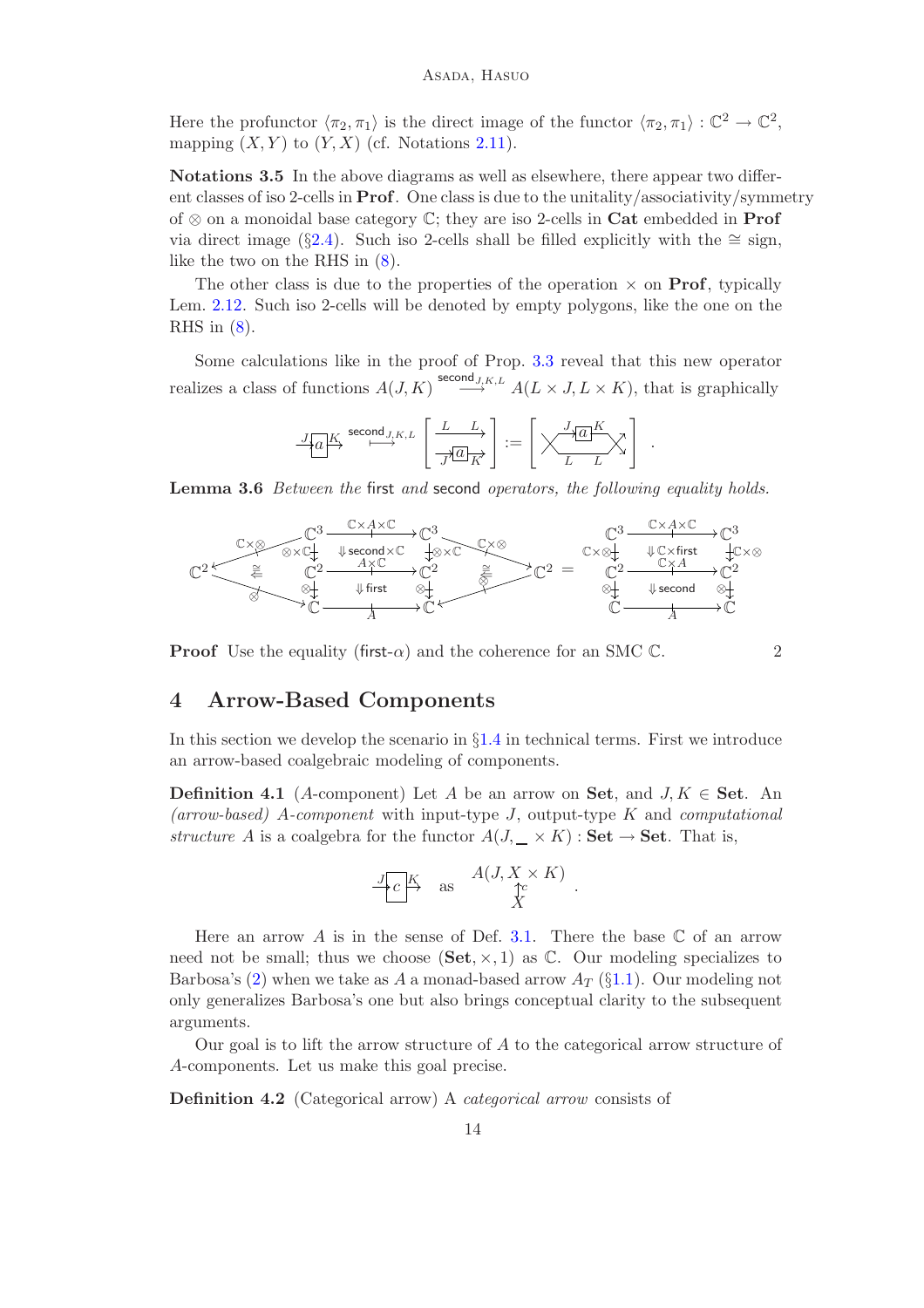Here the profunctor  $\langle \pi_2, \pi_1 \rangle$  is the direct image of the functor  $\langle \pi_2, \pi_1 \rangle : \mathbb{C}^2 \to \mathbb{C}^2$ , mapping  $(X, Y)$  to  $(Y, X)$  (cf. Notations [2.11\)](#page-9-2).

<span id="page-13-3"></span>Notations 3.5 In the above diagrams as well as elsewhere, there appear two different classes of iso 2-cells in Prof. One class is due to the unitality/associativity/symmetry of ⊗ on a monoidal base category C; they are iso 2-cells in Cat embedded in Prof via direct image (§[2.4\)](#page-8-1). Such iso 2-cells shall be filled explicitly with the ≅ sign, like the two on the RHS in [\(8\)](#page-12-0).

The other class is due to the properties of the operation  $\times$  on **Prof**, typically Lem. [2.12.](#page-9-4) Such iso 2-cells will be denoted by empty polygons, like the one on the RHS in  $(8)$ .

Some calculations like in the proof of Prop. [3.3](#page-11-1) reveal that this new operator realizes a class of functions  $A(J, K) \stackrel{\mathsf{second}_{J,K,L}}{\longrightarrow} A(L \times J, L \times K)$ , that is graphically

$$
\underbrace{J[a]^K}\xrightarrow{\text{second }J,K,L}\left[\underbrace{\frac{L}{J^{\prime}[a]}_K}{J^{\prime}[a]}_K\right]:=\left[\underset{L}{\underbrace{\left(\underset{L}{\underbrace{\left(\underset{L}{\underbrace{\left(\underset{L}{\left(\underset{L}{\left(\underset{L}{\left(\underset{L}{\left(\underset{L}{\left(\underset{L}{\left(\underset{L}{\left(\underset{L}{\left(\underset{L}{\left(\underset{L}{\left(\underset{L}{\left(\underset{L}{\left(\underset{L}{\left(\underset{L}{\left(\underset{L}{\left(\underset{L}{\left(\underset{L}{\left(\underset{L}{\left(\underset{L}{\left(\underset{L}{\left(\underset{L}{\left(\underset{L}{\left(\underset{L}{\left(\underset{L}{\left(\underset{L}{\left(\underset{L}{\left(\underset{L}{\left(\underset{L}{\left(\underset{L}{\left(\underset{L}{\left(\underset{L}{\left(\underset{L}{\left(\underset{L}{\left(\underset{L}{\left(\underset{L}{\left(\underset{L}{\left(\underset{L}{\left(\underset{L}{\left(\underset{L}{\left(\underset{L}{\left(\underset{L}{\left(\underset{L}{\left(\underset{L}{\left(\underset{L}{\left(\underset{L}{\left(\underset{L}{\left(\underset{L}{\left(\underset{L}{\left(\underset{L}{\left(\underset{L}{\left(\underset{L}{\left(\underset{L}{\left(\underset{L}{\left(\underset{L}{\left(\underset{L}{\left(\underset{L}{\left(\underset{L}{\left(\underset{L}{\left(\underset{L}{\left(\underset{L}{\left(\underset{L}{\left(\underset{L}{\left(\underset{L}{\left(\underset{L}{\left(\underset{L}{\left(\underset{L}{\left(\underset{L}{\left(\underset{L}{L}}}{\left(\underset{L}{\left(\underset{L}{\left(\underset{L}{\left(\underset{L}{\left(\underset{L}{\left(\underset{L}{\left(\underset{L}{\left(\underset{L}{\left(\underset{L}{\left(\underset{L}{\left(\underset{L}{\left(\underset{L}{\left(\underset{L}{\left(\underset{L}{\left(\underset{L}{\left(\underset{L}{\
$$

<span id="page-13-4"></span>Lemma 3.6 *Between the* first *and* second *operators, the following equality holds.*



<span id="page-13-0"></span>**Proof** Use the equality (first- $\alpha$ ) and the coherence for an SMC C. 2

.

## 4 Arrow-Based Components

In this section we develop the scenario in  $\S1.4$  $\S1.4$  in technical terms. First we introduce an arrow-based coalgebraic modeling of components.

<span id="page-13-2"></span>**Definition 4.1** (A-component) Let A be an arrow on Set, and  $J, K \in$  Set. An *(arrow-based)* A*-component* with input-type J, output-type K and *computational structure* A is a coalgebra for the functor  $A(J, \_\times K)$ : **Set**  $\rightarrow$  **Set**. That is,

$$
\frac{J_C K}{X} \quad \text{as} \quad \frac{A(J, X \times K)}{X} \ .
$$

Here an arrow A is in the sense of Def. [3.1.](#page-9-0) There the base  $\mathbb C$  of an arrow need not be small; thus we choose  $(\mathbf{Set}, \times, 1)$  as  $\mathbb{C}$ . Our modeling specializes to Barbosa's [\(2\)](#page-2-0) when we take as A a monad-based arrow  $A_T$  (§[1.1\)](#page-0-1). Our modeling not only generalizes Barbosa's one but also brings conceptual clarity to the subsequent arguments.

Our goal is to lift the arrow structure of  $A$  to the categorical arrow structure of A-components. Let us make this goal precise.

<span id="page-13-1"></span>Definition 4.2 (Categorical arrow) A *categorical arrow* consists of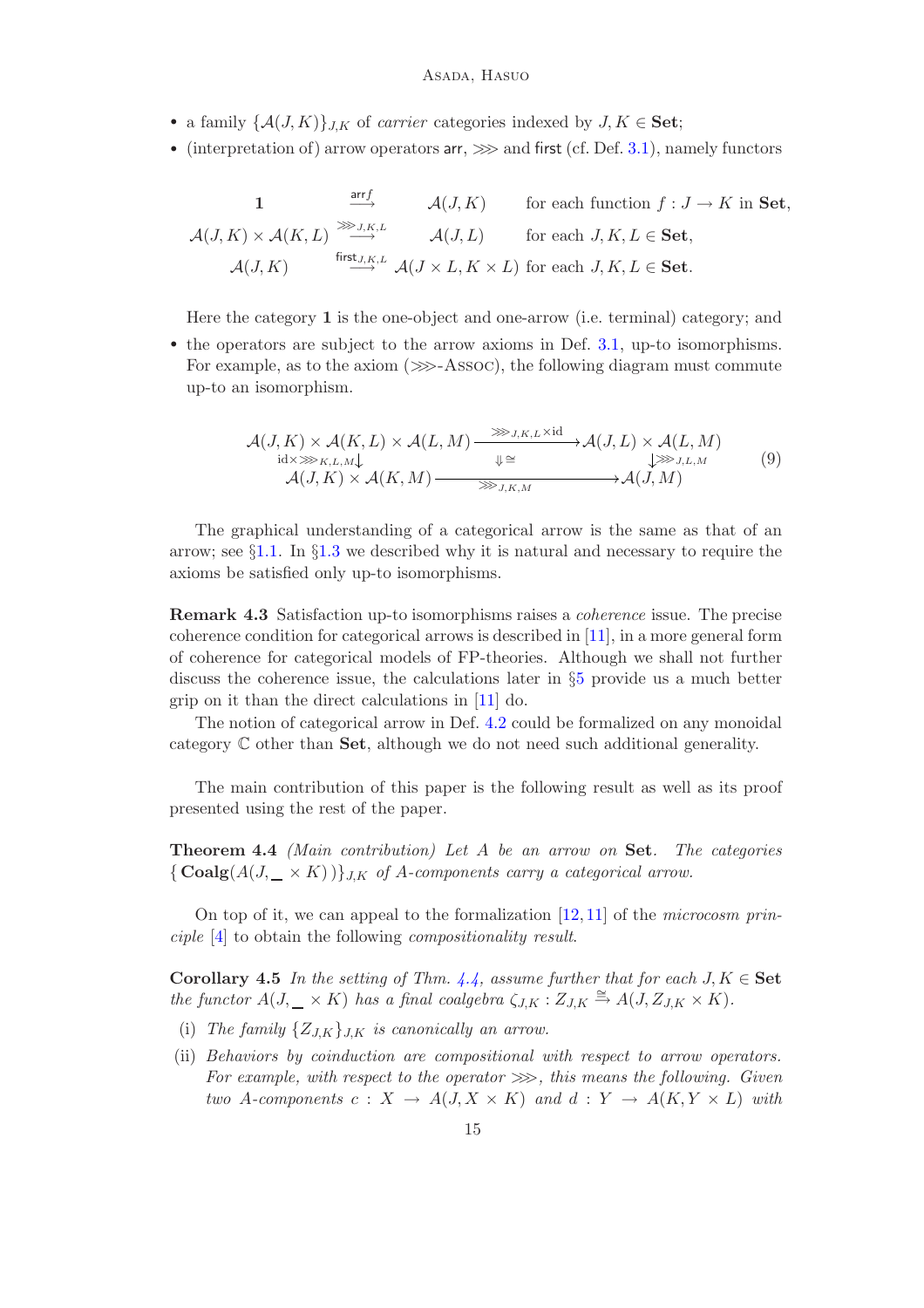- a family  $\{\mathcal{A}(J,K)\}_{J,K}$  of *carrier* categories indexed by  $J, K \in \mathbf{Set}$ ;
- (interpretation of) arrow operators  $arr \gg \gg$  and first (cf. Def. [3.1\)](#page-9-0), namely functors

1 
$$
\xrightarrow{\text{arr } f}
$$
  $\mathcal{A}(J,K)$  for each function  $f : J \to K$  in Set,  
\n $\mathcal{A}(J,K) \times \mathcal{A}(K,L) \xrightarrow{\text{first } J,K,L}$   $\mathcal{A}(J,L)$  for each  $J, K, L \in \textbf{Set}$ ,  
\n $\mathcal{A}(J,K)$   $\xrightarrow{\text{first } J,K,L}$   $\mathcal{A}(J \times L, K \times L)$  for each  $J, K, L \in \textbf{Set}$ .

Here the category 1 is the one-object and one-arrow (i.e. terminal) category; and

• the operators are subject to the arrow axioms in Def. [3.1,](#page-9-0) up-to isomorphisms. For example, as to the axiom  $(\ggg$ -Assoc), the following diagram must commute up-to an isomorphism.

$$
\mathcal{A}(J,K) \times \mathcal{A}(K,L) \times \mathcal{A}(L,M) \xrightarrow{\text{M,K,L} \times \text{id}} \mathcal{A}(J,L) \times \mathcal{A}(L,M)
$$
\n
$$
\downarrow \cong \text{M,K} \times \mathcal{A}(K,M) \xrightarrow{\text{M} \times \text{M,K} \times \text{id}} \mathcal{A}(J,M)
$$
\n
$$
\mathcal{A}(J,K) \times \mathcal{A}(K,M) \xrightarrow{\text{M,K},M} \mathcal{A}(J,M)
$$
\n(9)

The graphical understanding of a categorical arrow is the same as that of an arrow; see §[1.1.](#page-0-1) In §[1.3](#page-2-1) we described why it is natural and necessary to require the axioms be satisfied only up-to isomorphisms.

Remark 4.3 Satisfaction up-to isomorphisms raises a *coherence* issue. The precise coherence condition for categorical arrows is described in [\[11\]](#page-19-3), in a more general form of coherence for categorical models of FP-theories. Although we shall not further discuss the coherence issue, the calculations later in §[5](#page-16-0) provide us a much better grip on it than the direct calculations in [\[11\]](#page-19-3) do.

The notion of categorical arrow in Def. [4.2](#page-13-1) could be formalized on any monoidal category C other than Set, although we do not need such additional generality.

The main contribution of this paper is the following result as well as its proof presented using the rest of the paper.

<span id="page-14-0"></span>Theorem 4.4 *(Main contribution) Let* A *be an arrow on* Set*. The categories*  $\{ \text{Coalg}(A(J, \_\times K)) \}_{J,K}$  of A-components carry a categorical arrow.

On top of it, we can appeal to the formalization [\[12,](#page-19-6) [11\]](#page-19-3) of the *microcosm principle* [\[4\]](#page-19-5) to obtain the following *compositionality result*.

Corollary 4.5 *In the setting of Thm.*  $4.4$ *, assume further that for each*  $J, K \in \mathbf{Set}$ *the functor*  $A(J, \_\times K)$  *has a final coalgebra*  $\zeta_{J,K} : Z_{J,K} \cong A(J, Z_{J,K} \times K)$ *.* 

- <span id="page-14-1"></span>(i) The family  $\{Z_{J,K}\}_{J,K}$  is canonically an arrow.
- (ii) *Behaviors by coinduction are compositional with respect to arrow operators. For example, with respect to the operator*  $\gg$ , this means the following. Given *two* A-components  $c: X \to A(J, X \times K)$  and  $d: Y \to A(K, Y \times L)$  with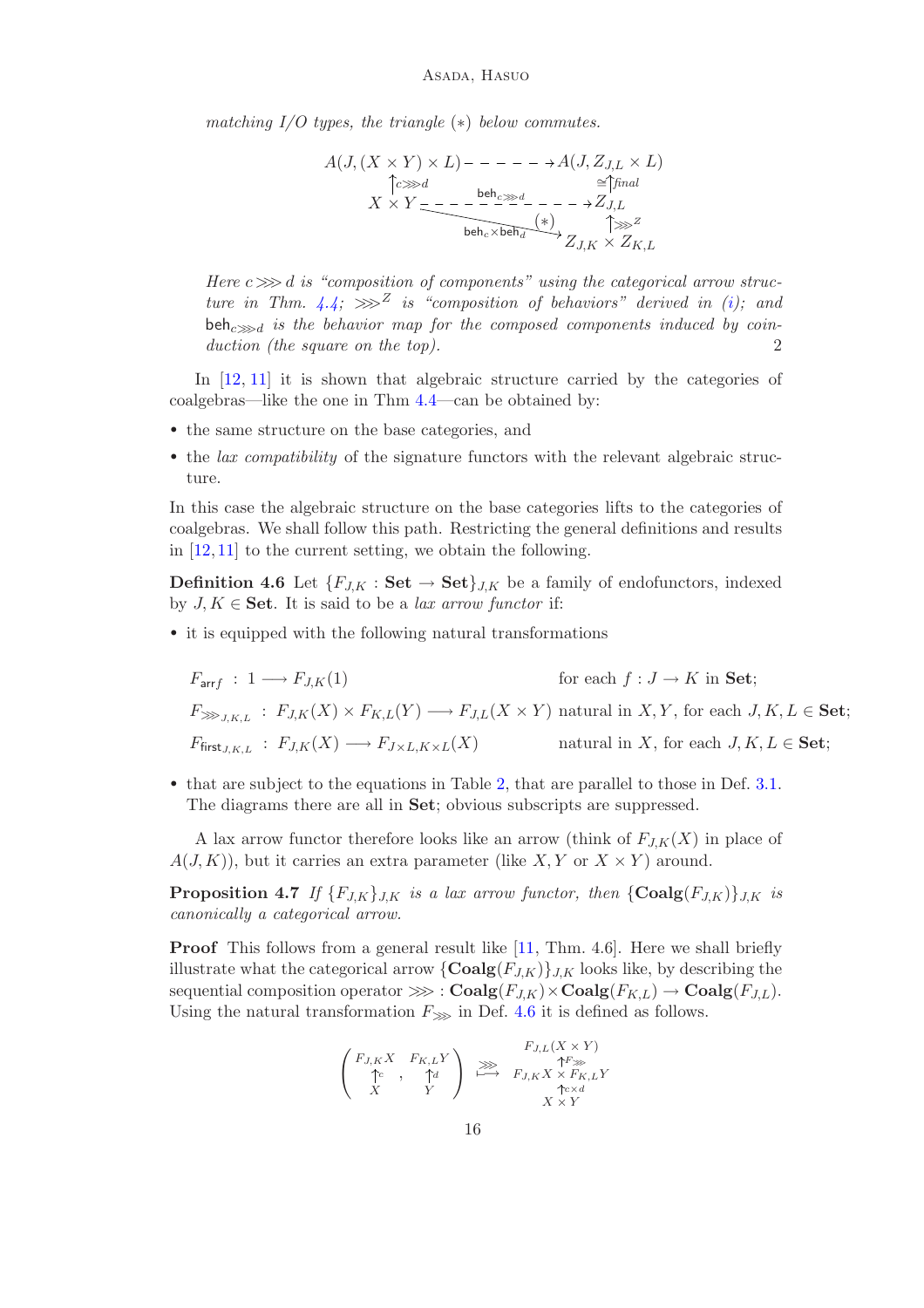*matching I/O types, the triangle* (∗) *below commutes.*

$$
A(J, (X \times Y) \times L) - - - - - \rightarrow A(J, Z_{J,L} \times L)
$$
  
\n
$$
\uparrow c \gg d
$$
  
\n
$$
X \times Y = - - - \frac{\text{beh}_{c} \gg d}{\text{beh}_{c} \times \text{beh}_{d}}
$$
  
\n
$$
\xrightarrow{\text{beh}_{c} \times \text{beh}_{d}} \xrightarrow{\text{f} \gg d}
$$
  
\n
$$
Z_{J,K} \times Z_{K,L}
$$

*Here*  $c \gg\!\!\gg d$  *is "composition of components" using the categorical arrow structure in Thm.*  $4.4$ ;  $\gg \sim^Z$  *is "composition of behaviors" derived in [\(i\)](#page-14-1)*; and beh<sub>c</sub> $\gg$ <sub>d</sub> is the behavior map for the composed components induced by coin*duction (the square on the top).* 2

In [\[12,](#page-19-6) [11\]](#page-19-3) it is shown that algebraic structure carried by the categories of coalgebras—like the one in Thm [4.4—](#page-14-0)can be obtained by:

- the same structure on the base categories, and
- the *lax compatibility* of the signature functors with the relevant algebraic structure.

In this case the algebraic structure on the base categories lifts to the categories of coalgebras. We shall follow this path. Restricting the general definitions and results in  $[12, 11]$  $[12, 11]$  to the current setting, we obtain the following.

<span id="page-15-0"></span>**Definition 4.6** Let  $\{F_{J,K} : \mathbf{Set} \to \mathbf{Set}\}_{J,K}$  be a family of endofunctors, indexed by  $J, K \in \mathbf{Set}$ . It is said to be a *lax arrow functor* if:

• it is equipped with the following natural transformations

$$
F_{\text{arr}f} : 1 \longrightarrow F_{J,K}(1) \qquad \text{for each } f : J \to K \text{ in } \mathbf{Set};
$$
  

$$
F_{\ggg_{J,K,L}} : F_{J,K}(X) \times F_{K,L}(Y) \longrightarrow F_{J,L}(X \times Y) \text{ natural in } X, Y, \text{ for each } J, K, L \in \mathbf{Set};
$$
  

$$
F_{\text{first}_{J,K,L}} : F_{J,K}(X) \longrightarrow F_{J \times L, K \times L}(X) \qquad \text{natural in } X, \text{ for each } J, K, L \in \mathbf{Set};
$$

• that are subject to the equations in Table [2,](#page-16-1) that are parallel to those in Def. [3.1.](#page-9-0) The diagrams there are all in Set; obvious subscripts are suppressed.

A lax arrow functor therefore looks like an arrow (think of  $F_{J,K}(X)$  in place of  $A(J, K)$ , but it carries an extra parameter (like X, Y or  $X \times Y$ ) around.

<span id="page-15-1"></span>**Proposition 4.7** If  $\{F_{JK}\}_{JK}$  is a lax arrow functor, then  $\{\text{Coalg}(F_{JK})\}_{LK}$  is *canonically a categorical arrow.*

Proof This follows from a general result like [\[11,](#page-19-3) Thm. 4.6]. Here we shall briefly illustrate what the categorical arrow  $\{\mathbf{Coalg}(F_{J,K})\}_{J,K}$  looks like, by describing the sequential composition operator  $\ggg$ :  $\text{Coalg}(F_{J,K}) \times \text{Coalg}(F_{K,L}) \to \text{Coalg}(F_{J,L}).$ Using the natural transformation  $F_{\ggg}$  in Def. [4.6](#page-15-0) it is defined as follows.

$$
\begin{pmatrix}\nF_{J,K}X & F_{K,L}Y \\
\uparrow c & , & \uparrow d \\
X & Y\n\end{pmatrix}\n\overset{F_{J,L}(X \times Y)}{\longrightarrow}\n\begin{pmatrix}\nF_{J,L}(X \times Y) \\
\uparrow F \gg & \uparrow F \gg \\
F_{J,K}X \times F_{K,L}Y \\
\uparrow c \times d \\
X \times Y\n\end{pmatrix}
$$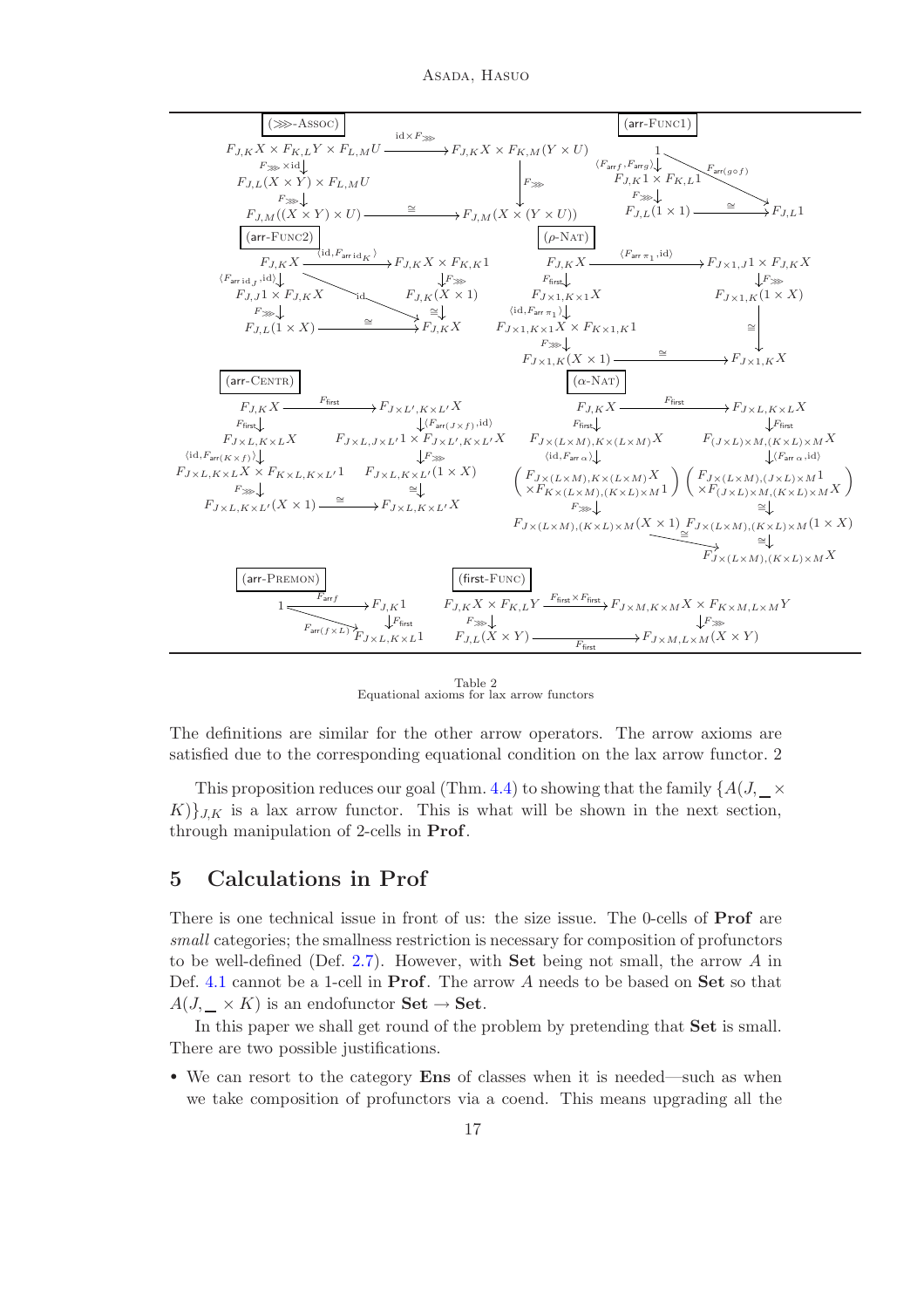Asada, Hasuo



<span id="page-16-1"></span>Table 2 Equational axioms for lax arrow functors

The definitions are similar for the other arrow operators. The arrow axioms are satisfied due to the corresponding equational condition on the lax arrow functor. 2

This proposition reduces our goal (Thm. [4.4\)](#page-14-0) to showing that the family  $\{A(J, \_\times)$  $K$ ),  $K$  is a lax arrow functor. This is what will be shown in the next section, through manipulation of 2-cells in Prof.

# <span id="page-16-0"></span>5 Calculations in Prof

There is one technical issue in front of us: the size issue. The 0-cells of Prof are *small* categories; the smallness restriction is necessary for composition of profunctors to be well-defined (Def. [2.7\)](#page-7-1). However, with **Set** being not small, the arrow  $\vec{A}$  in Def. [4.1](#page-13-2) cannot be a 1-cell in **Prof**. The arrow A needs to be based on **Set** so that  $A(J, \_\times K)$  is an endofunctor **Set**  $\rightarrow$  **Set**.

In this paper we shall get round of the problem by pretending that Set is small. There are two possible justifications.

• We can resort to the category Ens of classes when it is needed—such as when we take composition of profunctors via a coend. This means upgrading all the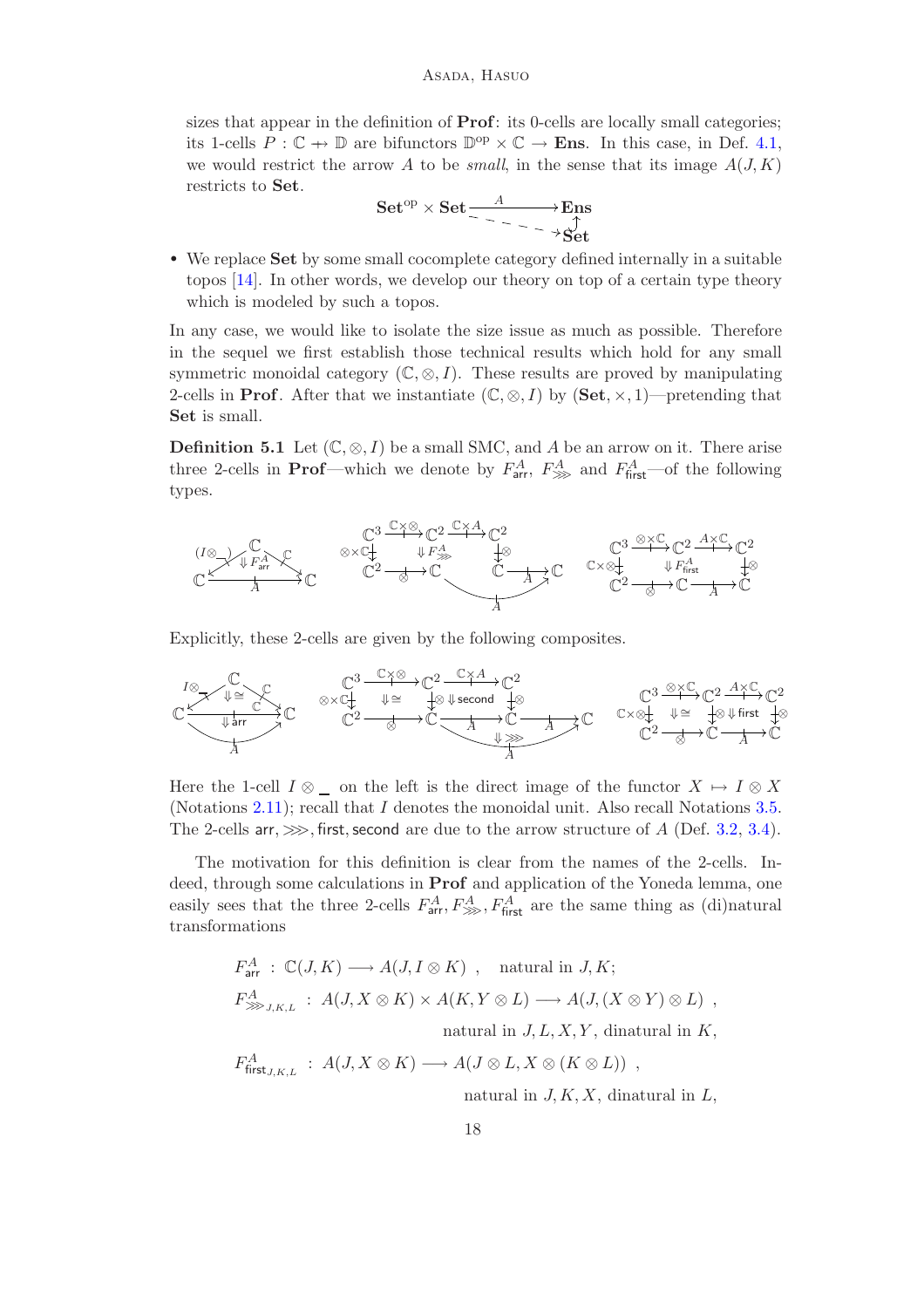sizes that appear in the definition of Prof: its 0-cells are locally small categories; its 1-cells  $P: \mathbb{C} \to \mathbb{D}$  are bifunctors  $\mathbb{D}^{op} \times \mathbb{C} \to \mathbf{Ens}$ . In this case, in Def. [4.1,](#page-13-2) we would restrict the arrow A to be *small*, in the sense that its image  $A(J, K)$ restricts to Set.

Set<sup>op</sup> × Set 
$$
\xrightarrow{\phantom{a}A}
$$
  $\xrightarrow{\phantom{a}B}$   $\xrightarrow{\phantom{a}B}$ 

• We replace Set by some small cocomplete category defined internally in a suitable topos [\[14\]](#page-20-10). In other words, we develop our theory on top of a certain type theory which is modeled by such a topos.

In any case, we would like to isolate the size issue as much as possible. Therefore in the sequel we first establish those technical results which hold for any small symmetric monoidal category  $(\mathbb{C}, \otimes, I)$ . These results are proved by manipulating 2-cells in **Prof**. After that we instantiate  $(\mathbb{C}, \otimes, I)$  by  $(\mathbf{Set}, \times, 1)$ —pretending that Set is small.

<span id="page-17-0"></span>**Definition 5.1** Let  $(\mathbb{C}, \otimes, I)$  be a small SMC, and A be an arrow on it. There arise three 2-cells in **Prof**—which we denote by  $F_{\text{arr}}^A$ ,  $F_{\text{sym}}^A$  and  $F_{\text{first}}^A$ —of the following types.



Explicitly, these 2-cells are given by the following composites.

$$
\mathbb{C}\begin{array}{c}\mathbb{C} & \mathbb{C}^3 \longrightarrow \mathbb{C}^2\\ \hline \text{where } \mathbb{C}^3 \longrightarrow \mathbb{C}^2\\ \hline \text{where } \mathbb{C}^3 \longrightarrow \mathbb{C}^2\\ \hline \text{where } \mathbb{C}^3 \longrightarrow \mathbb{C}^2\\ \hline \text{where } \mathbb{C}^3 \longrightarrow \mathbb{C}^2\\ \hline \text{where } \mathbb{C}^3 \longrightarrow \mathbb{C}^2\\ \hline \text{where } \mathbb{C}^3 \longrightarrow \mathbb{C}^2\\ \hline \text{where } \mathbb{C}^3 \longrightarrow \mathbb{C}^2\\ \hline \text{where } \mathbb{C}^3 \longrightarrow \mathbb{C}^2\\ \hline \text{where } \mathbb{C}^3 \longrightarrow \mathbb{C}^2\\ \hline \text{where } \mathbb{C}^3 \longrightarrow \mathbb{C}^2\\ \hline \text{where } \mathbb{C}^3 \longrightarrow \mathbb{C}^2\\ \hline \text{where } \mathbb{C}^3 \longrightarrow \mathbb{C}^2\\ \hline \text{where } \mathbb{C}^3 \longrightarrow \mathbb{C}^2\\ \hline \text{where } \mathbb{C}^3 \longrightarrow \mathbb{C}^2\\ \hline \text{where } \mathbb{C}^3 \longrightarrow \mathbb{C}^2\\ \hline \text{where } \mathbb{C}^3 \longrightarrow \mathbb{C}^2\\ \hline \text{where } \mathbb{C}^3 \longrightarrow \mathbb{C}^2\\ \hline \text{where } \mathbb{C}^3 \longrightarrow \mathbb{C}^2\\ \hline \text{where } \mathbb{C}^3 \longrightarrow \mathbb{C}^2\\ \hline \text{where } \mathbb{C}^3 \longrightarrow \mathbb{C}^2\\ \hline \text{where } \mathbb{C}^3 \longrightarrow \mathbb{C}^2\\ \hline \text{where } \mathbb{C}^3 \longrightarrow \mathbb{C}^2\\ \hline \text{where } \mathbb{C}^3 \longrightarrow \mathbb{C}^2\\ \hline \text{where } \mathbb{C}^3 \longrightarrow \mathbb{C}^2\\ \hline \text{where } \mathbb{C}^3 \longrightarrow \mathbb{C}^2\\ \hline \text{where } \mathbb{C}^3 \longrightarrow \mathbb{C}^2\\ \hline \text{where } \mathbb{C}^3 \longrightarrow \mathbb
$$

Here the 1-cell  $I \otimes \_$  on the left is the direct image of the functor  $X \mapsto I \otimes X$ (Notations [2.11\)](#page-9-2); recall that I denotes the monoidal unit. Also recall Notations [3.5.](#page-13-3) The 2-cells arr,  $\gg$ , first, second are due to the arrow structure of A (Def. [3.2,](#page-10-1) [3.4\)](#page-12-1).

The motivation for this definition is clear from the names of the 2-cells. Indeed, through some calculations in Prof and application of the Yoneda lemma, one easily sees that the three 2-cells  $F_{\text{arr}}^A, F_{\text{arr}}^A, F_{\text{first}}^A$  are the same thing as (di)natural transformations

$$
F_{\text{arr}}^{A} : \mathbb{C}(J,K) \longrightarrow A(J,I \otimes K) , \text{ natural in } J,K;
$$
  
\n
$$
F_{\ggg J,K,L}^{A} : A(J,X \otimes K) \times A(K,Y \otimes L) \longrightarrow A(J,(X \otimes Y) \otimes L) ,
$$
  
\nnatural in  $J, L, X, Y$ , dinatural in  $K$ ,  
\n
$$
F_{\text{first}_{J,K,L}}^{A} : A(J,X \otimes K) \longrightarrow A(J \otimes L, X \otimes (K \otimes L)) ,
$$

natural in  $J, K, X$ , dinatural in  $L$ ,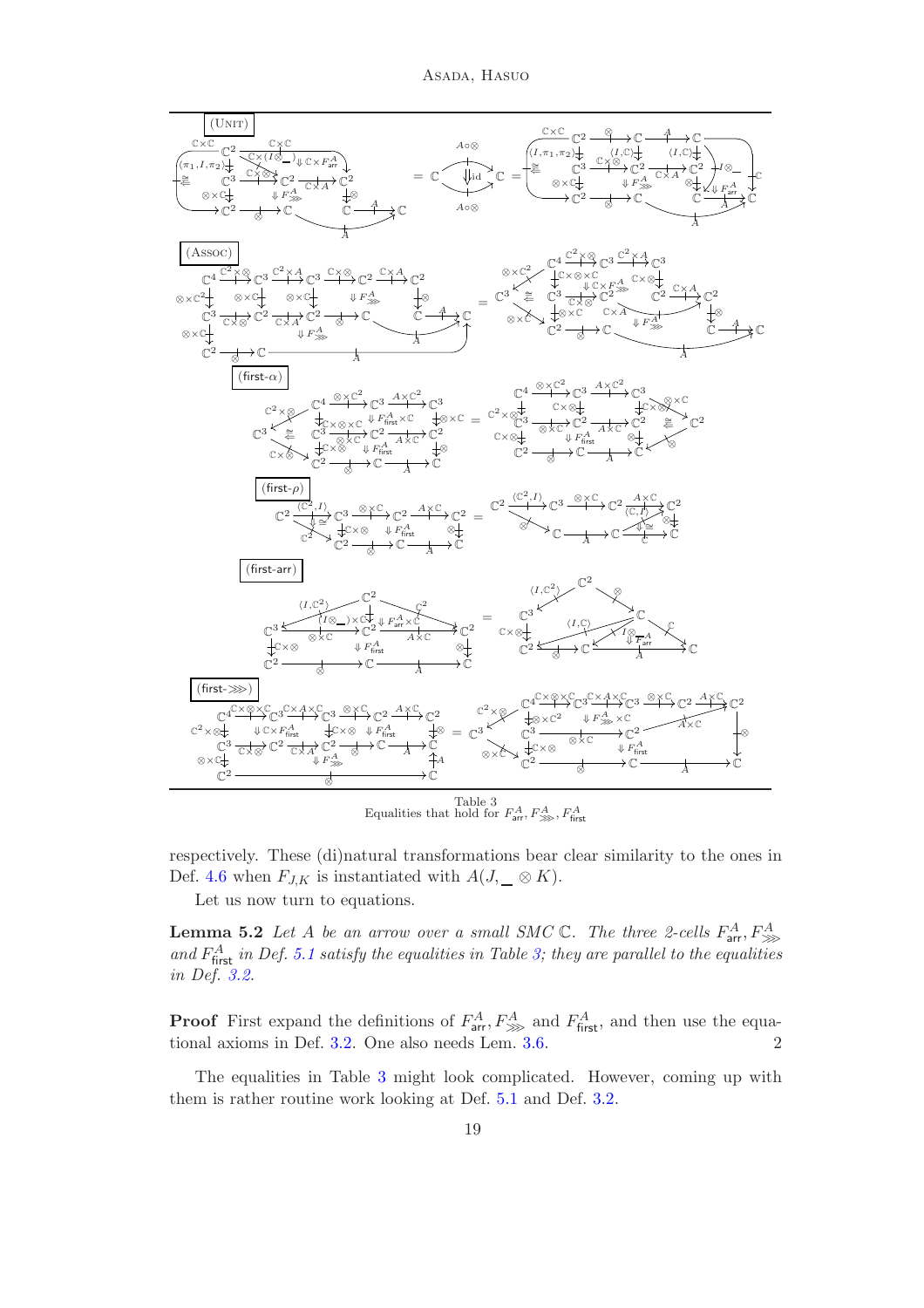

respectively. These (di)natural transformations bear clear similarity to the ones in Def. [4.6](#page-15-0) when  $F_{J,K}$  is instantiated with  $A(J, \_\_\otimes K)$ .

<span id="page-18-0"></span>Let us now turn to equations.

<span id="page-18-1"></span>**Lemma 5.2** Let A be an arrow over a small SMC  $\mathbb{C}$ . The three 2-cells  $F_{\text{arr}}^{A}, F_{\ggg}^{A}$ and  $F_{\text{first}}^A$  in Def. [5.1](#page-17-0) satisfy the equalities in Table [3;](#page-18-0) they are parallel to the equalities *in Def. [3.2.](#page-10-1)*

**Proof** First expand the definitions of  $F_{\text{arr}}^A$ ,  $F_{\text{sym}}^A$  and  $F_{\text{first}}^A$ , and then use the equational axioms in Def. [3.2.](#page-10-1) One also needs Lem. [3.6.](#page-13-4) 2

The equalities in Table [3](#page-18-0) might look complicated. However, coming up with them is rather routine work looking at Def. [5.1](#page-17-0) and Def. [3.2.](#page-10-1)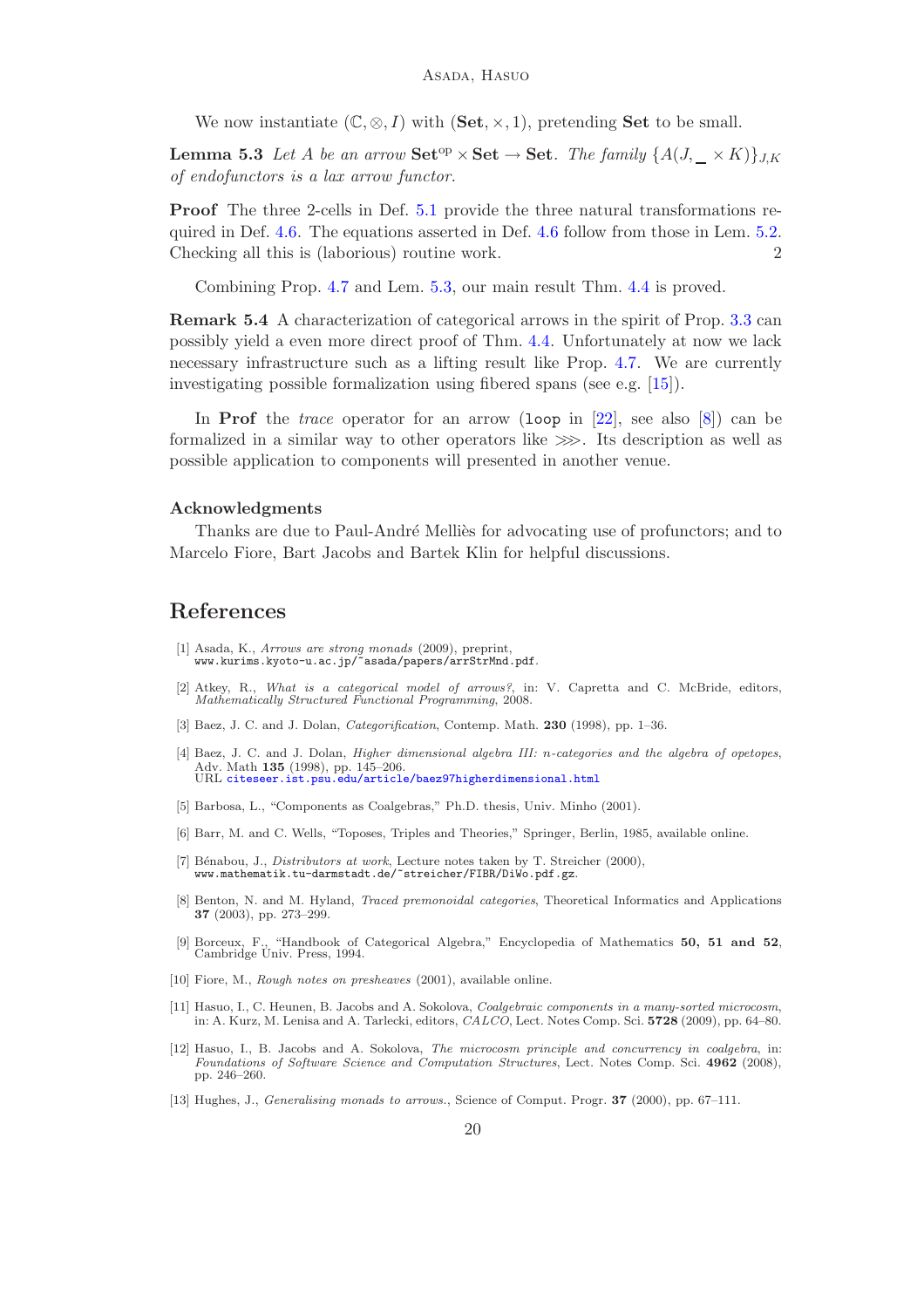We now instantiate  $(\mathbb{C}, \otimes, I)$  with  $(\mathbf{Set}, \times, 1)$ , pretending **Set** to be small.

<span id="page-19-12"></span>**Lemma 5.3** Let A be an arrow  $\textbf{Set}^{\text{op}} \times \textbf{Set} \to \textbf{Set}$ . The family  $\{A(J, \_\times K)\}_{J,K}$ *of endofunctors is a lax arrow functor.*

Proof The three 2-cells in Def. [5.1](#page-17-0) provide the three natural transformations required in Def. [4.6.](#page-15-0) The equations asserted in Def. [4.6](#page-15-0) follow from those in Lem. [5.2.](#page-18-1) Checking all this is (laborious) routine work. 2

Combining Prop. [4.7](#page-15-1) and Lem. [5.3,](#page-19-12) our main result Thm. [4.4](#page-14-0) is proved.

Remark 5.4 A characterization of categorical arrows in the spirit of Prop. [3.3](#page-11-1) can possibly yield a even more direct proof of Thm. [4.4.](#page-14-0) Unfortunately at now we lack necessary infrastructure such as a lifting result like Prop. [4.7.](#page-15-1) We are currently investigating possible formalization using fibered spans (see e.g. [\[15\]](#page-20-11)).

In Prof the *trace* operator for an arrow (loop in [\[22\]](#page-20-12), see also [\[8\]](#page-19-13)) can be formalized in a similar way to other operators like  $\gg$ . Its description as well as possible application to components will presented in another venue.

#### Acknowledgments

Thanks are due to Paul-André Melliès for advocating use of profunctors; and to Marcelo Fiore, Bart Jacobs and Bartek Klin for helpful discussions.

# References

- <span id="page-19-7"></span>[1] Asada, K., *Arrows are strong monads* (2009), preprint, www.kurims.kyoto-u.ac.jp/~asada/papers/arrStrMnd.pdf.
- <span id="page-19-1"></span>[2] Atkey, R., *What is a categorical model of arrows?*, in: V. Capretta and C. McBride, editors, *Mathematically Structured Functional Programming*, 2008.
- <span id="page-19-4"></span>[3] Baez, J. C. and J. Dolan, *Categorification*, Contemp. Math. 230 (1998), pp. 1–36.
- <span id="page-19-5"></span>[4] Baez, J. C. and J. Dolan, *Higher dimensional algebra III:* n*-categories and the algebra of opetopes*, Adv. Math 135 (1998), pp. 145–206. URL <citeseer.ist.psu.edu/article/baez97higherdimensional.html>
- <span id="page-19-2"></span>[5] Barbosa, L., "Components as Coalgebras," Ph.D. thesis, Univ. Minho (2001).
- <span id="page-19-8"></span>[6] Barr, M. and C. Wells, "Toposes, Triples and Theories," Springer, Berlin, 1985, available online.
- <span id="page-19-9"></span>[7] B´enabou, J., *Distributors at work*, Lecture notes taken by T. Streicher (2000), www.mathematik.tu-darmstadt.de/~streicher/FIBR/DiWo.pdf.gz.
- <span id="page-19-13"></span>[8] Benton, N. and M. Hyland, *Traced premonoidal categories*, Theoretical Informatics and Applications 37 (2003), pp. 273–299.
- <span id="page-19-10"></span>[9] Borceux, F., "Handbook of Categorical Algebra," Encyclopedia of Mathematics 50, 51 and 52, Cambridge Univ. Press, 1994.
- <span id="page-19-11"></span><span id="page-19-3"></span>[10] Fiore, M., *Rough notes on presheaves* (2001), available online.
- [11] Hasuo, I., C. Heunen, B. Jacobs and A. Sokolova, *Coalgebraic components in a many-sorted microcosm*, in: A. Kurz, M. Lenisa and A. Tarlecki, editors, *CALCO*, Lect. Notes Comp. Sci. 5728 (2009), pp. 64–80.
- <span id="page-19-6"></span>[12] Hasuo, I., B. Jacobs and A. Sokolova, *The microcosm principle and concurrency in coalgebra*, in: *Foundations of Software Science and Computation Structures*, Lect. Notes Comp. Sci. 4962 (2008), pp. 246–260.
- <span id="page-19-0"></span>[13] Hughes, J., *Generalising monads to arrows.*, Science of Comput. Progr. 37 (2000), pp. 67–111.